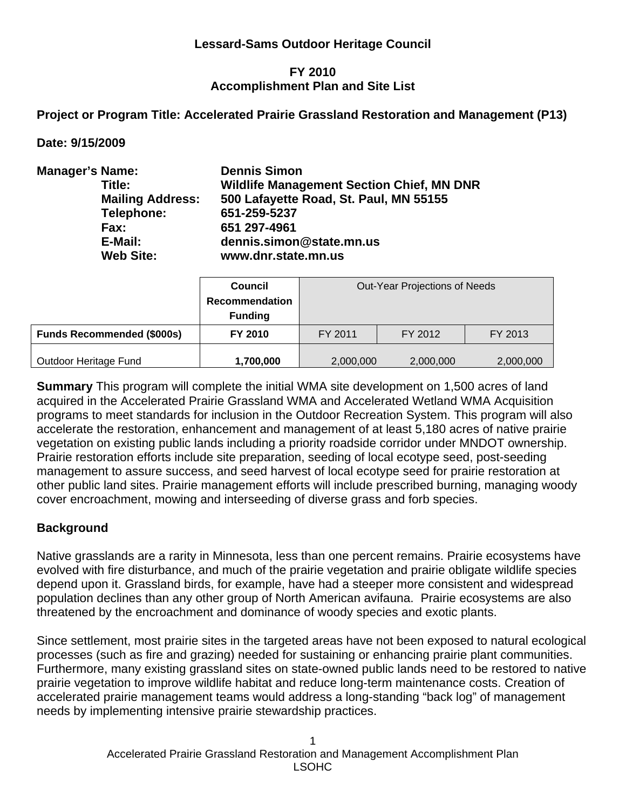### **Lessard-Sams Outdoor Heritage Council**

#### **FY 2010 Accomplishment Plan and Site List**

**Project or Program Title: Accelerated Prairie Grassland Restoration and Management (P13)** 

**Date: 9/15/2009** 

| <b>Manager's Name:</b> |                         | <b>Dennis Simon</b>                              |
|------------------------|-------------------------|--------------------------------------------------|
|                        | Title:                  | <b>Wildlife Management Section Chief, MN DNR</b> |
|                        | <b>Mailing Address:</b> | 500 Lafayette Road, St. Paul, MN 55155           |
|                        | Telephone:              | 651-259-5237                                     |
|                        | Fax:                    | 651 297-4961                                     |
|                        | E-Mail:                 | dennis.simon@state.mn.us                         |
|                        | <b>Web Site:</b>        | www.dnr.state.mn.us                              |

|                                   | <b>Council</b><br><b>Recommendation</b><br><b>Funding</b> | Out-Year Projections of Needs |         |           |  |  |
|-----------------------------------|-----------------------------------------------------------|-------------------------------|---------|-----------|--|--|
| <b>Funds Recommended (\$000s)</b> | FY 2010                                                   | FY 2011                       | FY 2012 | FY 2013   |  |  |
| Outdoor Heritage Fund             | 1,700,000                                                 | 2,000,000<br>2,000,000        |         | 2,000,000 |  |  |

**Summary** This program will complete the initial WMA site development on 1,500 acres of land acquired in the Accelerated Prairie Grassland WMA and Accelerated Wetland WMA Acquisition programs to meet standards for inclusion in the Outdoor Recreation System. This program will also accelerate the restoration, enhancement and management of at least 5,180 acres of native prairie vegetation on existing public lands including a priority roadside corridor under MNDOT ownership. Prairie restoration efforts include site preparation, seeding of local ecotype seed, post-seeding management to assure success, and seed harvest of local ecotype seed for prairie restoration at other public land sites. Prairie management efforts will include prescribed burning, managing woody cover encroachment, mowing and interseeding of diverse grass and forb species.

### **Background**

Native grasslands are a rarity in Minnesota, less than one percent remains. Prairie ecosystems have evolved with fire disturbance, and much of the prairie vegetation and prairie obligate wildlife species depend upon it. Grassland birds, for example, have had a steeper more consistent and widespread population declines than any other group of North American avifauna. Prairie ecosystems are also threatened by the encroachment and dominance of woody species and exotic plants.

Since settlement, most prairie sites in the targeted areas have not been exposed to natural ecological processes (such as fire and grazing) needed for sustaining or enhancing prairie plant communities. Furthermore, many existing grassland sites on state-owned public lands need to be restored to native prairie vegetation to improve wildlife habitat and reduce long-term maintenance costs. Creation of accelerated prairie management teams would address a long-standing "back log" of management needs by implementing intensive prairie stewardship practices.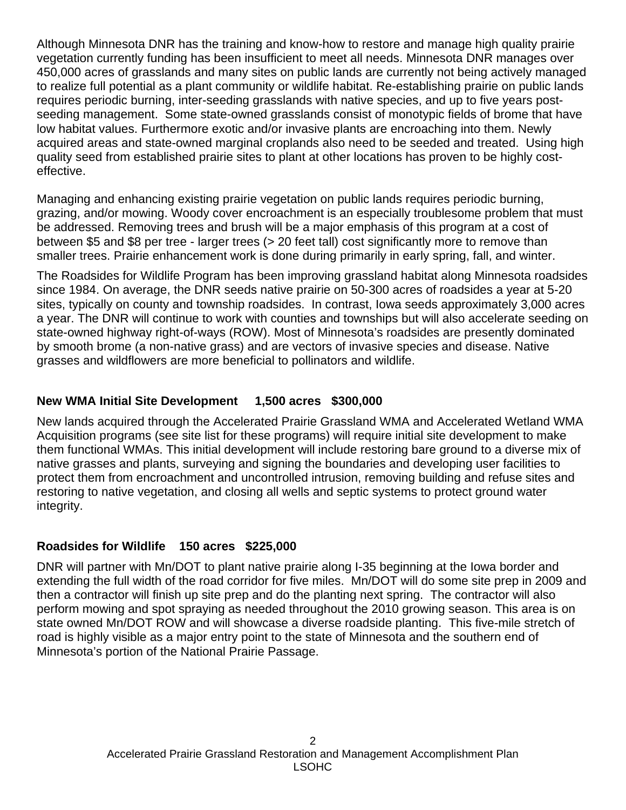Although Minnesota DNR has the training and know-how to restore and manage high quality prairie vegetation currently funding has been insufficient to meet all needs. Minnesota DNR manages over 450,000 acres of grasslands and many sites on public lands are currently not being actively managed to realize full potential as a plant community or wildlife habitat. Re-establishing prairie on public lands requires periodic burning, inter-seeding grasslands with native species, and up to five years postseeding management. Some state-owned grasslands consist of monotypic fields of brome that have low habitat values. Furthermore exotic and/or invasive plants are encroaching into them. Newly acquired areas and state-owned marginal croplands also need to be seeded and treated. Using high quality seed from established prairie sites to plant at other locations has proven to be highly costeffective.

Managing and enhancing existing prairie vegetation on public lands requires periodic burning, grazing, and/or mowing. Woody cover encroachment is an especially troublesome problem that must be addressed. Removing trees and brush will be a major emphasis of this program at a cost of between \$5 and \$8 per tree - larger trees (> 20 feet tall) cost significantly more to remove than smaller trees. Prairie enhancement work is done during primarily in early spring, fall, and winter.

The Roadsides for Wildlife Program has been improving grassland habitat along Minnesota roadsides since 1984. On average, the DNR seeds native prairie on 50-300 acres of roadsides a year at 5-20 sites, typically on county and township roadsides. In contrast, Iowa seeds approximately 3,000 acres a year. The DNR will continue to work with counties and townships but will also accelerate seeding on state-owned highway right-of-ways (ROW). Most of Minnesota's roadsides are presently dominated by smooth brome (a non-native grass) and are vectors of invasive species and disease. Native grasses and wildflowers are more beneficial to pollinators and wildlife.

## **New WMA Initial Site Development 1,500 acres \$300,000**

New lands acquired through the Accelerated Prairie Grassland WMA and Accelerated Wetland WMA Acquisition programs (see site list for these programs) will require initial site development to make them functional WMAs. This initial development will include restoring bare ground to a diverse mix of native grasses and plants, surveying and signing the boundaries and developing user facilities to protect them from encroachment and uncontrolled intrusion, removing building and refuse sites and restoring to native vegetation, and closing all wells and septic systems to protect ground water integrity.

### **Roadsides for Wildlife 150 acres \$225,000**

DNR will partner with Mn/DOT to plant native prairie along I-35 beginning at the Iowa border and extending the full width of the road corridor for five miles. Mn/DOT will do some site prep in 2009 and then a contractor will finish up site prep and do the planting next spring. The contractor will also perform mowing and spot spraying as needed throughout the 2010 growing season. This area is on state owned Mn/DOT ROW and will showcase a diverse roadside planting. This five-mile stretch of road is highly visible as a major entry point to the state of Minnesota and the southern end of Minnesota's portion of the National Prairie Passage.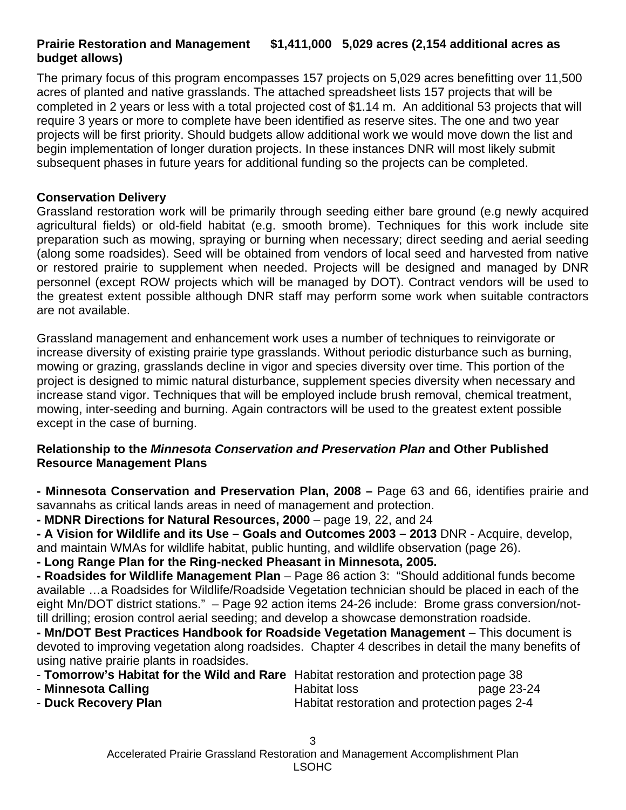## **Prairie Restoration and Management \$1,411,000 5,029 acres (2,154 additional acres as budget allows)**

The primary focus of this program encompasses 157 projects on 5,029 acres benefitting over 11,500 acres of planted and native grasslands. The attached spreadsheet lists 157 projects that will be completed in 2 years or less with a total projected cost of \$1.14 m. An additional 53 projects that will require 3 years or more to complete have been identified as reserve sites. The one and two year projects will be first priority. Should budgets allow additional work we would move down the list and begin implementation of longer duration projects. In these instances DNR will most likely submit subsequent phases in future years for additional funding so the projects can be completed.

### **Conservation Delivery**

Grassland restoration work will be primarily through seeding either bare ground (e.g newly acquired agricultural fields) or old-field habitat (e.g. smooth brome). Techniques for this work include site preparation such as mowing, spraying or burning when necessary; direct seeding and aerial seeding (along some roadsides). Seed will be obtained from vendors of local seed and harvested from native or restored prairie to supplement when needed. Projects will be designed and managed by DNR personnel (except ROW projects which will be managed by DOT). Contract vendors will be used to the greatest extent possible although DNR staff may perform some work when suitable contractors are not available.

Grassland management and enhancement work uses a number of techniques to reinvigorate or increase diversity of existing prairie type grasslands. Without periodic disturbance such as burning, mowing or grazing, grasslands decline in vigor and species diversity over time. This portion of the project is designed to mimic natural disturbance, supplement species diversity when necessary and increase stand vigor. Techniques that will be employed include brush removal, chemical treatment, mowing, inter-seeding and burning. Again contractors will be used to the greatest extent possible except in the case of burning.

### **Relationship to the** *Minnesota Conservation and Preservation Plan* **and Other Published Resource Management Plans**

**- Minnesota Conservation and Preservation Plan, 2008 –** Page 63 and 66, identifies prairie and savannahs as critical lands areas in need of management and protection.

**- MDNR Directions for Natural Resources, 2000** – page 19, 22, and 24

**- A Vision for Wildlife and its Use – Goals and Outcomes 2003 – 2013** DNR - Acquire, develop, and maintain WMAs for wildlife habitat, public hunting, and wildlife observation (page 26).

**- Long Range Plan for the Ring-necked Pheasant in Minnesota, 2005.** 

**- Roadsides for Wildlife Management Plan** – Page 86 action 3: "Should additional funds become available …a Roadsides for Wildlife/Roadside Vegetation technician should be placed in each of the eight Mn/DOT district stations." – Page 92 action items 24-26 include: Brome grass conversion/nottill drilling; erosion control aerial seeding; and develop a showcase demonstration roadside.

**- Mn/DOT Best Practices Handbook for Roadside Vegetation Management** – This document is devoted to improving vegetation along roadsides. Chapter 4 describes in detail the many benefits of using native prairie plants in roadsides.

| - Tomorrow's Habitat for the Wild and Rare Habitat restoration and protection page 38 |
|---------------------------------------------------------------------------------------|
|                                                                                       |

- **Minnesota Calling** The Calliang Habitat loss the page 23-24 - **Duck Recovery Plan Habitat restoration and protection pages 2-4**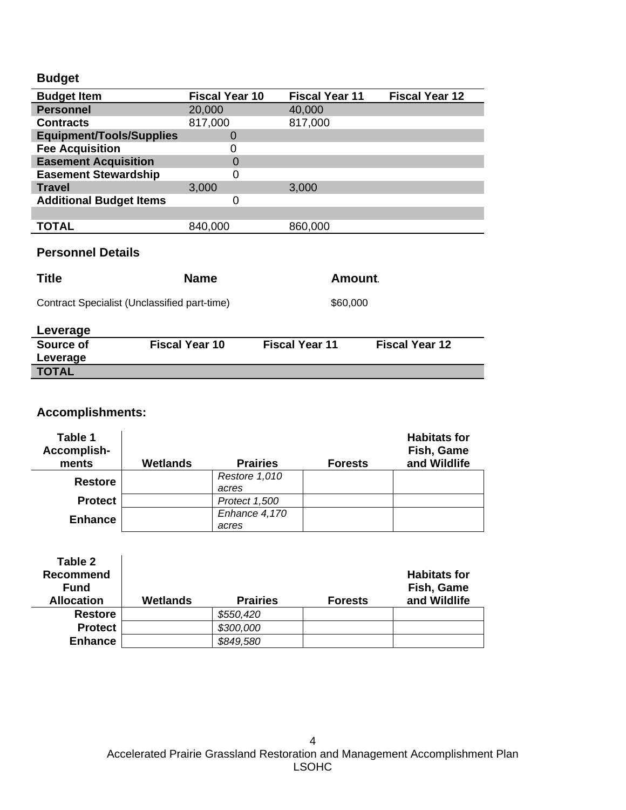# **Budget**

| <b>Budget Item</b>              | <b>Fiscal Year 10</b> | <b>Fiscal Year 11</b> | <b>Fiscal Year 12</b> |
|---------------------------------|-----------------------|-----------------------|-----------------------|
| <b>Personnel</b>                | 20,000                | 40,000                |                       |
| <b>Contracts</b>                | 817,000               | 817,000               |                       |
| <b>Equipment/Tools/Supplies</b> |                       |                       |                       |
| <b>Fee Acquisition</b>          |                       |                       |                       |
| <b>Easement Acquisition</b>     | $\Omega$              |                       |                       |
| <b>Easement Stewardship</b>     | 0                     |                       |                       |
| <b>Travel</b>                   | 3,000                 | 3,000                 |                       |
| <b>Additional Budget Items</b>  | 0                     |                       |                       |
|                                 |                       |                       |                       |
| <b>TOTAL</b>                    | 840,000               | 860,000               |                       |

## **Personnel Details**

| <b>Title</b> | <b>Name</b>                                  | Amount.               |                       |  |  |
|--------------|----------------------------------------------|-----------------------|-----------------------|--|--|
|              | Contract Specialist (Unclassified part-time) | \$60,000              |                       |  |  |
| Leverage     |                                              |                       |                       |  |  |
| Source of    | <b>Fiscal Year 10</b>                        | <b>Fiscal Year 11</b> | <b>Fiscal Year 12</b> |  |  |
| Leverage     |                                              |                       |                       |  |  |
| <b>TOTAL</b> |                                              |                       |                       |  |  |

# **Accomplishments:**

| Table 1<br>Accomplish-<br>ments | <b>Wetlands</b> | <b>Prairies</b>        | <b>Forests</b> | <b>Habitats for</b><br>Fish, Game<br>and Wildlife |
|---------------------------------|-----------------|------------------------|----------------|---------------------------------------------------|
| <b>Restore</b>                  |                 | Restore 1,010<br>acres |                |                                                   |
| <b>Protect</b>                  |                 | Protect 1,500          |                |                                                   |
| <b>Enhance</b>                  |                 | Enhance 4,170          |                |                                                   |
|                                 |                 | acres                  |                |                                                   |

| Table 2<br><b>Recommend</b><br><b>Fund</b><br><b>Allocation</b> | Wetlands | <b>Prairies</b> | <b>Forests</b> | <b>Habitats for</b><br>Fish, Game<br>and Wildlife |
|-----------------------------------------------------------------|----------|-----------------|----------------|---------------------------------------------------|
| <b>Restore</b>                                                  |          | \$550,420       |                |                                                   |
| <b>Protect</b>                                                  |          | \$300,000       |                |                                                   |
| <b>Enhance</b>                                                  |          | \$849,580       |                |                                                   |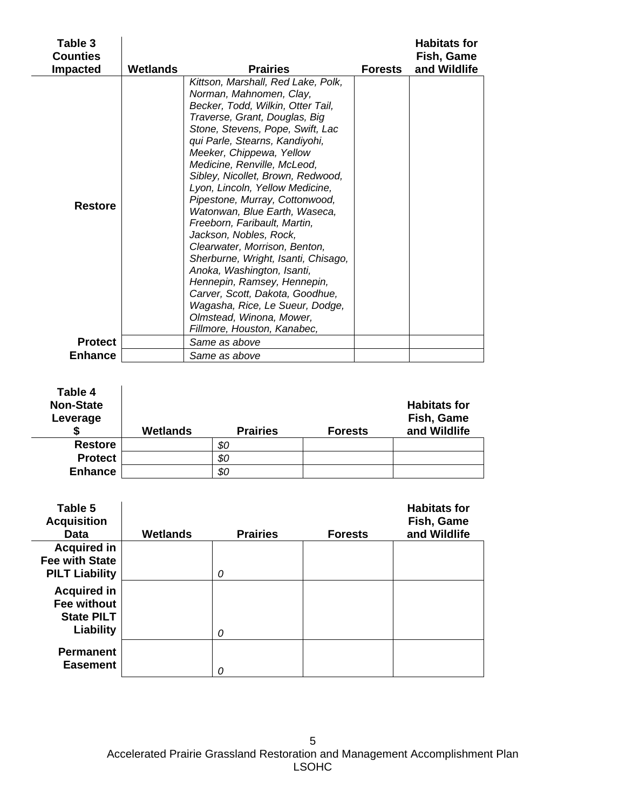| Table 3<br><b>Counties</b> |                 |                                                                                                                                                                                                                                                                                                                                                                                                                                                                                                                                                                                                                                                                                                                                                 |                | <b>Habitats for</b><br>Fish, Game |
|----------------------------|-----------------|-------------------------------------------------------------------------------------------------------------------------------------------------------------------------------------------------------------------------------------------------------------------------------------------------------------------------------------------------------------------------------------------------------------------------------------------------------------------------------------------------------------------------------------------------------------------------------------------------------------------------------------------------------------------------------------------------------------------------------------------------|----------------|-----------------------------------|
| <b>Impacted</b>            | <b>Wetlands</b> | <b>Prairies</b>                                                                                                                                                                                                                                                                                                                                                                                                                                                                                                                                                                                                                                                                                                                                 | <b>Forests</b> | and Wildlife                      |
| <b>Restore</b>             |                 | Kittson, Marshall, Red Lake, Polk,<br>Norman, Mahnomen, Clay,<br>Becker, Todd, Wilkin, Otter Tail,<br>Traverse, Grant, Douglas, Big<br>Stone, Stevens, Pope, Swift, Lac<br>qui Parle, Stearns, Kandiyohi,<br>Meeker, Chippewa, Yellow<br>Medicine, Renville, McLeod,<br>Sibley, Nicollet, Brown, Redwood,<br>Lyon, Lincoln, Yellow Medicine,<br>Pipestone, Murray, Cottonwood,<br>Watonwan, Blue Earth, Waseca,<br>Freeborn, Faribault, Martin,<br>Jackson, Nobles, Rock,<br>Clearwater, Morrison, Benton,<br>Sherburne, Wright, Isanti, Chisago,<br>Anoka, Washington, Isanti,<br>Hennepin, Ramsey, Hennepin,<br>Carver, Scott, Dakota, Goodhue,<br>Wagasha, Rice, Le Sueur, Dodge,<br>Olmstead, Winona, Mower,<br>Fillmore, Houston, Kanabec, |                |                                   |
| <b>Protect</b>             |                 | Same as above                                                                                                                                                                                                                                                                                                                                                                                                                                                                                                                                                                                                                                                                                                                                   |                |                                   |
| <b>Enhance</b>             |                 | Same as above                                                                                                                                                                                                                                                                                                                                                                                                                                                                                                                                                                                                                                                                                                                                   |                |                                   |

| Table 4<br><b>Non-State</b><br>Leverage | <b>Wetlands</b> | <b>Prairies</b> | <b>Forests</b> | <b>Habitats for</b><br>Fish, Game<br>and Wildlife |
|-----------------------------------------|-----------------|-----------------|----------------|---------------------------------------------------|
| <b>Restore</b>                          |                 | \$0             |                |                                                   |
| <b>Protect</b>                          |                 | \$0             |                |                                                   |
| <b>Enhance</b>                          |                 | \$0             |                |                                                   |

| Table 5<br><b>Acquisition</b><br><b>Data</b>           | <b>Wetlands</b> | <b>Prairies</b> | <b>Forests</b> | <b>Habitats for</b><br>Fish, Game<br>and Wildlife |
|--------------------------------------------------------|-----------------|-----------------|----------------|---------------------------------------------------|
| <b>Acquired in</b>                                     |                 |                 |                |                                                   |
| <b>Fee with State</b><br><b>PILT Liability</b>         |                 | 0               |                |                                                   |
|                                                        |                 |                 |                |                                                   |
| <b>Acquired in</b><br>Fee without<br><b>State PILT</b> |                 |                 |                |                                                   |
| Liability                                              |                 | 0               |                |                                                   |
| <b>Permanent</b><br><b>Easement</b>                    |                 | N               |                |                                                   |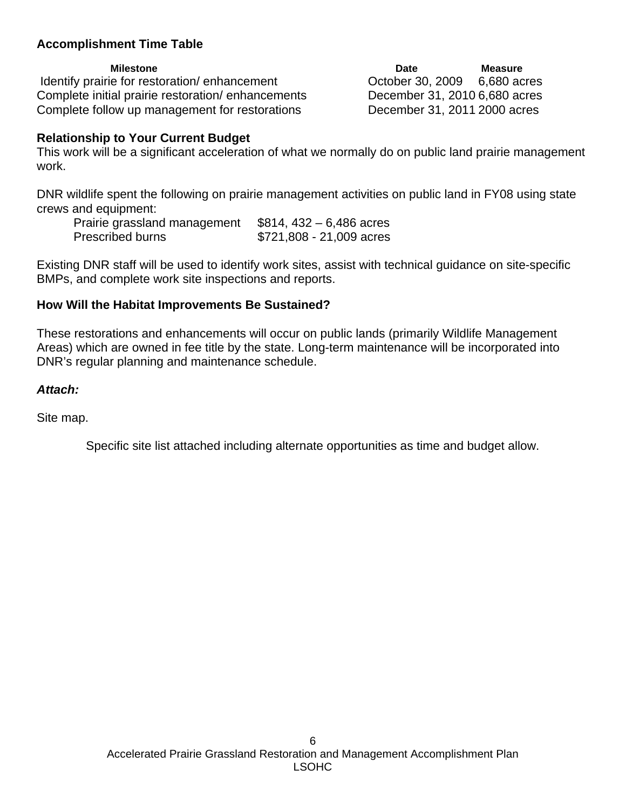### **Accomplishment Time Table**

Identify prairie for restoration/ enhancement Corober 30, 2009 6,680 acres Complete initial prairie restoration/ enhancements December 31, 2010 6,680 acres Complete follow up management for restorations December 31, 2011 2000 acres

**Milestone Measure Community Community Community Community Date Measure** 

### **Relationship to Your Current Budget**

This work will be a significant acceleration of what we normally do on public land prairie management work.

DNR wildlife spent the following on prairie management activities on public land in FY08 using state crews and equipment:

| Prairie grassland management | $$814, 432 - 6,486$ acres |
|------------------------------|---------------------------|
| <b>Prescribed burns</b>      | $$721,808 - 21,009$ acres |

Existing DNR staff will be used to identify work sites, assist with technical guidance on site-specific BMPs, and complete work site inspections and reports.

#### **How Will the Habitat Improvements Be Sustained?**

These restorations and enhancements will occur on public lands (primarily Wildlife Management Areas) which are owned in fee title by the state. Long-term maintenance will be incorporated into DNR's regular planning and maintenance schedule.

#### *Attach:*

Site map.

Specific site list attached including alternate opportunities as time and budget allow.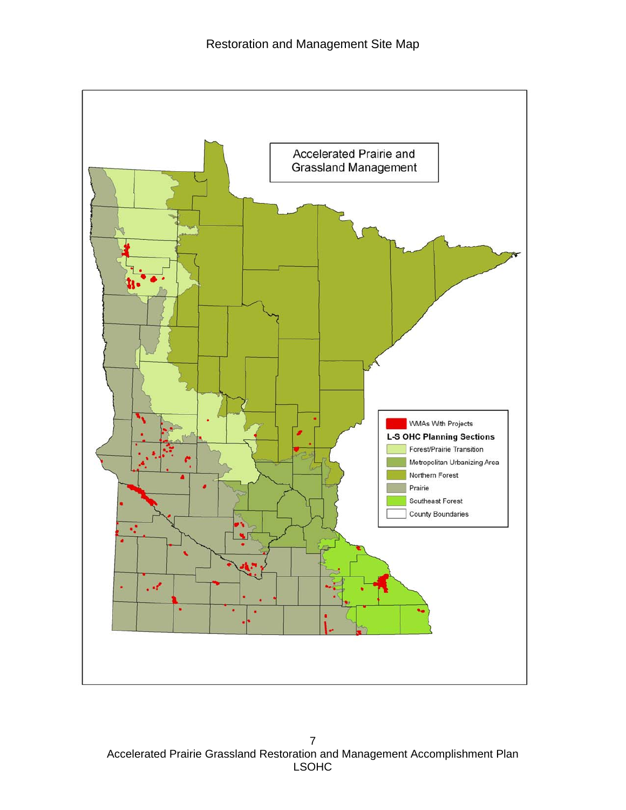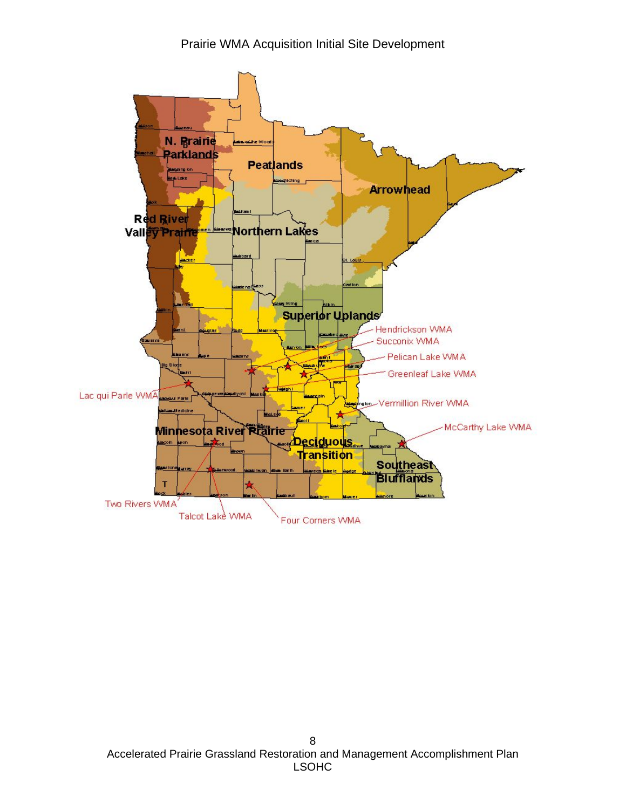Prairie WMA Acquisition Initial Site Development

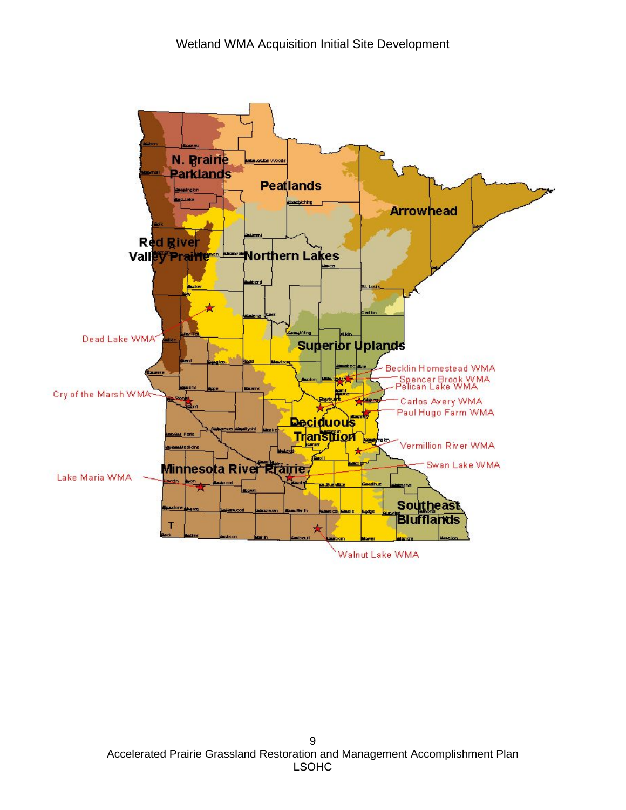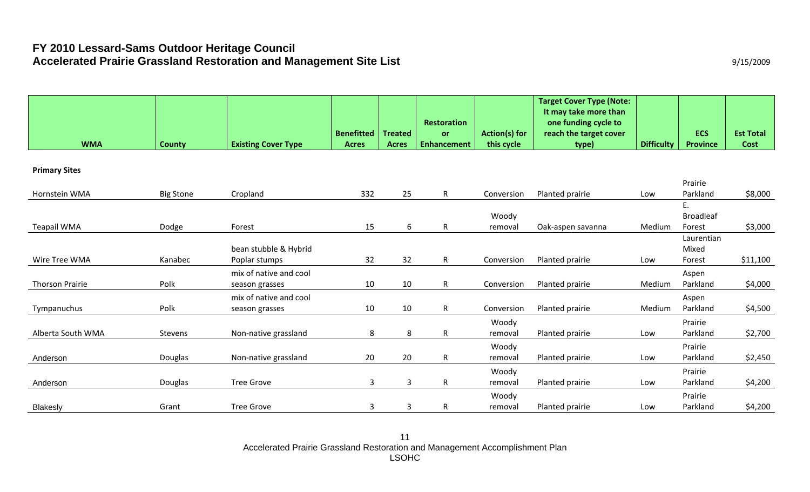# **FY 2010 Lessard-Sams Outdoor Heritage Council**  Accelerated Prairie Grassland Restoration and Management Site List **Accelerated Prairie Grassland Restoration and Management Site List 19945/2009**

|                  |                                          |                                                                                                                     |                                                    | <b>Restoration</b>                                   |                                                         | <b>Target Cover Type (Note:</b><br>It may take more than<br>one funding cycle to |                                                                                                                         |                             | <b>Est Total</b>                                                              |
|------------------|------------------------------------------|---------------------------------------------------------------------------------------------------------------------|----------------------------------------------------|------------------------------------------------------|---------------------------------------------------------|----------------------------------------------------------------------------------|-------------------------------------------------------------------------------------------------------------------------|-----------------------------|-------------------------------------------------------------------------------|
| <b>County</b>    | <b>Existing Cover Type</b>               | <b>Acres</b>                                                                                                        | <b>Acres</b>                                       | <b>Enhancement</b>                                   | this cycle                                              | type)                                                                            | <b>Difficulty</b>                                                                                                       | <b>Province</b>             | <b>Cost</b>                                                                   |
|                  |                                          |                                                                                                                     |                                                    |                                                      |                                                         |                                                                                  |                                                                                                                         |                             |                                                                               |
| <b>Big Stone</b> | Cropland                                 | 332                                                                                                                 | 25                                                 | $\mathsf{R}$                                         | Conversion                                              | Planted prairie                                                                  | Low                                                                                                                     | Prairie<br>Parkland         | \$8,000                                                                       |
|                  |                                          |                                                                                                                     |                                                    |                                                      | Woody                                                   |                                                                                  |                                                                                                                         | E.<br><b>Broadleaf</b>      |                                                                               |
| Dodge            |                                          |                                                                                                                     |                                                    |                                                      |                                                         |                                                                                  |                                                                                                                         |                             | \$3,000                                                                       |
|                  | bean stubble & Hybrid                    |                                                                                                                     |                                                    |                                                      |                                                         |                                                                                  |                                                                                                                         | Mixed                       |                                                                               |
|                  |                                          |                                                                                                                     |                                                    |                                                      |                                                         |                                                                                  |                                                                                                                         |                             | \$11,100                                                                      |
| Polk             | season grasses                           | 10                                                                                                                  | 10                                                 | $\mathsf{R}$                                         | Conversion                                              | Planted prairie                                                                  | Medium                                                                                                                  | Parkland                    | \$4,000                                                                       |
| Polk             | mix of native and cool<br>season grasses | 10                                                                                                                  | 10                                                 | $\mathsf{R}$                                         | Conversion                                              | Planted prairie                                                                  | Medium                                                                                                                  | Aspen<br>Parkland           | \$4,500                                                                       |
| Stevens          | Non-native grassland                     | 8                                                                                                                   | 8                                                  | $\mathsf{R}$                                         | Woody<br>removal                                        | Planted prairie                                                                  | Low                                                                                                                     | Prairie<br>Parkland         | \$2,700                                                                       |
| Douglas          |                                          | 20                                                                                                                  |                                                    | $\mathsf{R}$                                         | Woody<br>removal                                        |                                                                                  | Low                                                                                                                     | Prairie<br>Parkland         | \$2,450                                                                       |
| Douglas          |                                          |                                                                                                                     |                                                    |                                                      | Woody                                                   |                                                                                  |                                                                                                                         | Prairie                     | \$4,200                                                                       |
|                  |                                          |                                                                                                                     |                                                    |                                                      | Woody                                                   |                                                                                  |                                                                                                                         | Prairie                     | \$4,200                                                                       |
|                  | Kanabec<br>Grant                         | Forest<br>Poplar stumps<br>mix of native and cool<br>Non-native grassland<br><b>Tree Grove</b><br><b>Tree Grove</b> | <b>Benefitted</b><br>15<br>32<br>$\mathbf{3}$<br>3 | <b>Treated</b><br>6<br>32<br>20<br>$\mathbf{3}$<br>3 | or<br>$\mathsf{R}$<br>$\mathsf{R}$<br>$\mathsf{R}$<br>R | <b>Action(s) for</b><br>removal<br>Conversion<br>removal<br>removal              | reach the target cover<br>Oak-aspen savanna<br>Planted prairie<br>Planted prairie<br>Planted prairie<br>Planted prairie | Medium<br>Low<br>Low<br>Low | <b>ECS</b><br>Forest<br>Laurentian<br>Forest<br>Aspen<br>Parkland<br>Parkland |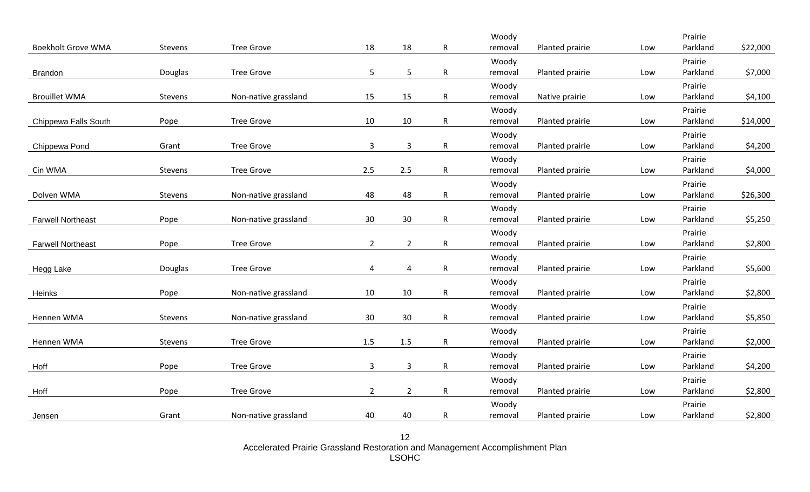| 18<br>18<br><b>Tree Grove</b><br>$\mathsf R$<br>Planted prairie<br>Parkland<br>\$22,000<br><b>Boekholt Grove WMA</b><br>Stevens<br>Low<br>removal<br>Woody<br>Prairie<br>5<br>5<br><b>Tree Grove</b><br>$\mathsf{R}^-$<br>Parkland<br>\$7,000<br>Douglas<br>Planted prairie<br>removal<br>Low<br><b>Brandon</b><br>Prairie<br>Woody<br>15<br>\$4,100<br><b>Brouillet WMA</b><br>Non-native grassland<br>15<br>$\mathsf{R}$<br>Parkland<br>Stevens<br>removal<br>Native prairie<br>Low<br>Woody<br>Prairie<br><b>Tree Grove</b><br>10<br>10<br>$\mathsf{R}$<br>Parkland<br>Planted prairie<br>\$14,000<br>Chippewa Falls South<br>Pope<br>removal<br>Low<br>Woody<br>Prairie<br>$\mathbf{3}$<br>$\mathbf{3}$<br><b>Tree Grove</b><br>$\mathsf{R}$<br>Parkland<br>\$4,200<br>Grant<br>removal<br>Planted prairie<br>Chippewa Pond<br>Low<br>Prairie<br>Woody<br>2.5<br>2.5<br>$\mathsf{R}$<br>\$4,000<br>Cin WMA<br>Stevens<br><b>Tree Grove</b><br>Planted prairie<br>Parkland<br>removal<br>Low<br>Prairie<br>Woody<br>48<br>48<br>$\mathsf{R}$<br>Parkland<br>\$26,300<br>Dolven WMA<br>Stevens<br>Non-native grassland<br>Planted prairie<br>removal<br>Low<br>Woody<br>Prairie<br>30<br>30<br>Parkland<br>\$5,250<br>Pope<br>Non-native grassland<br>$\mathsf{R}$<br>Planted prairie<br>removal<br>Low<br><b>Farwell Northeast</b><br>Prairie<br>Woody<br>$\overline{2}$<br>$\overline{2}$<br>$\mathsf{R}$<br>\$2,800<br>Pope<br><b>Tree Grove</b><br>Planted prairie<br>Parkland<br><b>Farwell Northeast</b><br>Low<br>removal<br>Woody<br>Prairie<br><b>Tree Grove</b><br>4<br>$\mathsf{R}$<br>Planted prairie<br>Parkland<br>\$5,600<br>Douglas<br>4<br>removal<br>Low<br>Hegg Lake<br>Woody<br>Prairie<br>10<br>10<br>$\mathsf{R}$<br>\$2,800<br>Pope<br>Non-native grassland<br>Planted prairie<br>Parkland<br>removal<br>Low<br>Heinks<br>Prairie<br>Woody<br>30<br>30<br>$\mathsf{R}$<br>\$5,850<br>Hennen WMA<br>Stevens<br>Non-native grassland<br>Planted prairie<br>Parkland<br>removal<br>Low<br>Woody<br>Prairie<br>1.5<br>\$2,000<br>Hennen WMA<br><b>Tree Grove</b><br>1.5<br>$\mathsf{R}$<br>Planted prairie<br>Parkland<br>Stevens<br>removal<br>Low<br>Prairie<br>Woody<br>$\overline{3}$<br>$\mathsf 3$<br><b>Tree Grove</b><br>$\mathsf{R}$<br>\$4,200<br>Pope<br>Planted prairie<br>Parkland<br>removal<br>Low<br>Prairie<br>Woody<br>$\overline{2}$<br>$\overline{2}$<br>$\mathsf{R}$<br>\$2,800<br><b>Tree Grove</b><br>Planted prairie<br>Parkland<br>Pope<br>removal<br>Low<br>Woody<br>Prairie |        |  |  | Woody |  | Prairie |  |
|-----------------------------------------------------------------------------------------------------------------------------------------------------------------------------------------------------------------------------------------------------------------------------------------------------------------------------------------------------------------------------------------------------------------------------------------------------------------------------------------------------------------------------------------------------------------------------------------------------------------------------------------------------------------------------------------------------------------------------------------------------------------------------------------------------------------------------------------------------------------------------------------------------------------------------------------------------------------------------------------------------------------------------------------------------------------------------------------------------------------------------------------------------------------------------------------------------------------------------------------------------------------------------------------------------------------------------------------------------------------------------------------------------------------------------------------------------------------------------------------------------------------------------------------------------------------------------------------------------------------------------------------------------------------------------------------------------------------------------------------------------------------------------------------------------------------------------------------------------------------------------------------------------------------------------------------------------------------------------------------------------------------------------------------------------------------------------------------------------------------------------------------------------------------------------------------------------------------------------------------------------------------------------------------------------------------------------------------------------------------------------------------------------------------------------------------------------------------------------------------------------------------------------|--------|--|--|-------|--|---------|--|
|                                                                                                                                                                                                                                                                                                                                                                                                                                                                                                                                                                                                                                                                                                                                                                                                                                                                                                                                                                                                                                                                                                                                                                                                                                                                                                                                                                                                                                                                                                                                                                                                                                                                                                                                                                                                                                                                                                                                                                                                                                                                                                                                                                                                                                                                                                                                                                                                                                                                                                                             |        |  |  |       |  |         |  |
|                                                                                                                                                                                                                                                                                                                                                                                                                                                                                                                                                                                                                                                                                                                                                                                                                                                                                                                                                                                                                                                                                                                                                                                                                                                                                                                                                                                                                                                                                                                                                                                                                                                                                                                                                                                                                                                                                                                                                                                                                                                                                                                                                                                                                                                                                                                                                                                                                                                                                                                             |        |  |  |       |  |         |  |
|                                                                                                                                                                                                                                                                                                                                                                                                                                                                                                                                                                                                                                                                                                                                                                                                                                                                                                                                                                                                                                                                                                                                                                                                                                                                                                                                                                                                                                                                                                                                                                                                                                                                                                                                                                                                                                                                                                                                                                                                                                                                                                                                                                                                                                                                                                                                                                                                                                                                                                                             |        |  |  |       |  |         |  |
|                                                                                                                                                                                                                                                                                                                                                                                                                                                                                                                                                                                                                                                                                                                                                                                                                                                                                                                                                                                                                                                                                                                                                                                                                                                                                                                                                                                                                                                                                                                                                                                                                                                                                                                                                                                                                                                                                                                                                                                                                                                                                                                                                                                                                                                                                                                                                                                                                                                                                                                             |        |  |  |       |  |         |  |
|                                                                                                                                                                                                                                                                                                                                                                                                                                                                                                                                                                                                                                                                                                                                                                                                                                                                                                                                                                                                                                                                                                                                                                                                                                                                                                                                                                                                                                                                                                                                                                                                                                                                                                                                                                                                                                                                                                                                                                                                                                                                                                                                                                                                                                                                                                                                                                                                                                                                                                                             |        |  |  |       |  |         |  |
|                                                                                                                                                                                                                                                                                                                                                                                                                                                                                                                                                                                                                                                                                                                                                                                                                                                                                                                                                                                                                                                                                                                                                                                                                                                                                                                                                                                                                                                                                                                                                                                                                                                                                                                                                                                                                                                                                                                                                                                                                                                                                                                                                                                                                                                                                                                                                                                                                                                                                                                             |        |  |  |       |  |         |  |
|                                                                                                                                                                                                                                                                                                                                                                                                                                                                                                                                                                                                                                                                                                                                                                                                                                                                                                                                                                                                                                                                                                                                                                                                                                                                                                                                                                                                                                                                                                                                                                                                                                                                                                                                                                                                                                                                                                                                                                                                                                                                                                                                                                                                                                                                                                                                                                                                                                                                                                                             |        |  |  |       |  |         |  |
|                                                                                                                                                                                                                                                                                                                                                                                                                                                                                                                                                                                                                                                                                                                                                                                                                                                                                                                                                                                                                                                                                                                                                                                                                                                                                                                                                                                                                                                                                                                                                                                                                                                                                                                                                                                                                                                                                                                                                                                                                                                                                                                                                                                                                                                                                                                                                                                                                                                                                                                             |        |  |  |       |  |         |  |
|                                                                                                                                                                                                                                                                                                                                                                                                                                                                                                                                                                                                                                                                                                                                                                                                                                                                                                                                                                                                                                                                                                                                                                                                                                                                                                                                                                                                                                                                                                                                                                                                                                                                                                                                                                                                                                                                                                                                                                                                                                                                                                                                                                                                                                                                                                                                                                                                                                                                                                                             |        |  |  |       |  |         |  |
|                                                                                                                                                                                                                                                                                                                                                                                                                                                                                                                                                                                                                                                                                                                                                                                                                                                                                                                                                                                                                                                                                                                                                                                                                                                                                                                                                                                                                                                                                                                                                                                                                                                                                                                                                                                                                                                                                                                                                                                                                                                                                                                                                                                                                                                                                                                                                                                                                                                                                                                             |        |  |  |       |  |         |  |
|                                                                                                                                                                                                                                                                                                                                                                                                                                                                                                                                                                                                                                                                                                                                                                                                                                                                                                                                                                                                                                                                                                                                                                                                                                                                                                                                                                                                                                                                                                                                                                                                                                                                                                                                                                                                                                                                                                                                                                                                                                                                                                                                                                                                                                                                                                                                                                                                                                                                                                                             |        |  |  |       |  |         |  |
|                                                                                                                                                                                                                                                                                                                                                                                                                                                                                                                                                                                                                                                                                                                                                                                                                                                                                                                                                                                                                                                                                                                                                                                                                                                                                                                                                                                                                                                                                                                                                                                                                                                                                                                                                                                                                                                                                                                                                                                                                                                                                                                                                                                                                                                                                                                                                                                                                                                                                                                             |        |  |  |       |  |         |  |
|                                                                                                                                                                                                                                                                                                                                                                                                                                                                                                                                                                                                                                                                                                                                                                                                                                                                                                                                                                                                                                                                                                                                                                                                                                                                                                                                                                                                                                                                                                                                                                                                                                                                                                                                                                                                                                                                                                                                                                                                                                                                                                                                                                                                                                                                                                                                                                                                                                                                                                                             |        |  |  |       |  |         |  |
|                                                                                                                                                                                                                                                                                                                                                                                                                                                                                                                                                                                                                                                                                                                                                                                                                                                                                                                                                                                                                                                                                                                                                                                                                                                                                                                                                                                                                                                                                                                                                                                                                                                                                                                                                                                                                                                                                                                                                                                                                                                                                                                                                                                                                                                                                                                                                                                                                                                                                                                             |        |  |  |       |  |         |  |
|                                                                                                                                                                                                                                                                                                                                                                                                                                                                                                                                                                                                                                                                                                                                                                                                                                                                                                                                                                                                                                                                                                                                                                                                                                                                                                                                                                                                                                                                                                                                                                                                                                                                                                                                                                                                                                                                                                                                                                                                                                                                                                                                                                                                                                                                                                                                                                                                                                                                                                                             |        |  |  |       |  |         |  |
|                                                                                                                                                                                                                                                                                                                                                                                                                                                                                                                                                                                                                                                                                                                                                                                                                                                                                                                                                                                                                                                                                                                                                                                                                                                                                                                                                                                                                                                                                                                                                                                                                                                                                                                                                                                                                                                                                                                                                                                                                                                                                                                                                                                                                                                                                                                                                                                                                                                                                                                             |        |  |  |       |  |         |  |
|                                                                                                                                                                                                                                                                                                                                                                                                                                                                                                                                                                                                                                                                                                                                                                                                                                                                                                                                                                                                                                                                                                                                                                                                                                                                                                                                                                                                                                                                                                                                                                                                                                                                                                                                                                                                                                                                                                                                                                                                                                                                                                                                                                                                                                                                                                                                                                                                                                                                                                                             |        |  |  |       |  |         |  |
|                                                                                                                                                                                                                                                                                                                                                                                                                                                                                                                                                                                                                                                                                                                                                                                                                                                                                                                                                                                                                                                                                                                                                                                                                                                                                                                                                                                                                                                                                                                                                                                                                                                                                                                                                                                                                                                                                                                                                                                                                                                                                                                                                                                                                                                                                                                                                                                                                                                                                                                             |        |  |  |       |  |         |  |
|                                                                                                                                                                                                                                                                                                                                                                                                                                                                                                                                                                                                                                                                                                                                                                                                                                                                                                                                                                                                                                                                                                                                                                                                                                                                                                                                                                                                                                                                                                                                                                                                                                                                                                                                                                                                                                                                                                                                                                                                                                                                                                                                                                                                                                                                                                                                                                                                                                                                                                                             |        |  |  |       |  |         |  |
|                                                                                                                                                                                                                                                                                                                                                                                                                                                                                                                                                                                                                                                                                                                                                                                                                                                                                                                                                                                                                                                                                                                                                                                                                                                                                                                                                                                                                                                                                                                                                                                                                                                                                                                                                                                                                                                                                                                                                                                                                                                                                                                                                                                                                                                                                                                                                                                                                                                                                                                             |        |  |  |       |  |         |  |
|                                                                                                                                                                                                                                                                                                                                                                                                                                                                                                                                                                                                                                                                                                                                                                                                                                                                                                                                                                                                                                                                                                                                                                                                                                                                                                                                                                                                                                                                                                                                                                                                                                                                                                                                                                                                                                                                                                                                                                                                                                                                                                                                                                                                                                                                                                                                                                                                                                                                                                                             |        |  |  |       |  |         |  |
|                                                                                                                                                                                                                                                                                                                                                                                                                                                                                                                                                                                                                                                                                                                                                                                                                                                                                                                                                                                                                                                                                                                                                                                                                                                                                                                                                                                                                                                                                                                                                                                                                                                                                                                                                                                                                                                                                                                                                                                                                                                                                                                                                                                                                                                                                                                                                                                                                                                                                                                             |        |  |  |       |  |         |  |
|                                                                                                                                                                                                                                                                                                                                                                                                                                                                                                                                                                                                                                                                                                                                                                                                                                                                                                                                                                                                                                                                                                                                                                                                                                                                                                                                                                                                                                                                                                                                                                                                                                                                                                                                                                                                                                                                                                                                                                                                                                                                                                                                                                                                                                                                                                                                                                                                                                                                                                                             |        |  |  |       |  |         |  |
|                                                                                                                                                                                                                                                                                                                                                                                                                                                                                                                                                                                                                                                                                                                                                                                                                                                                                                                                                                                                                                                                                                                                                                                                                                                                                                                                                                                                                                                                                                                                                                                                                                                                                                                                                                                                                                                                                                                                                                                                                                                                                                                                                                                                                                                                                                                                                                                                                                                                                                                             |        |  |  |       |  |         |  |
|                                                                                                                                                                                                                                                                                                                                                                                                                                                                                                                                                                                                                                                                                                                                                                                                                                                                                                                                                                                                                                                                                                                                                                                                                                                                                                                                                                                                                                                                                                                                                                                                                                                                                                                                                                                                                                                                                                                                                                                                                                                                                                                                                                                                                                                                                                                                                                                                                                                                                                                             |        |  |  |       |  |         |  |
|                                                                                                                                                                                                                                                                                                                                                                                                                                                                                                                                                                                                                                                                                                                                                                                                                                                                                                                                                                                                                                                                                                                                                                                                                                                                                                                                                                                                                                                                                                                                                                                                                                                                                                                                                                                                                                                                                                                                                                                                                                                                                                                                                                                                                                                                                                                                                                                                                                                                                                                             |        |  |  |       |  |         |  |
|                                                                                                                                                                                                                                                                                                                                                                                                                                                                                                                                                                                                                                                                                                                                                                                                                                                                                                                                                                                                                                                                                                                                                                                                                                                                                                                                                                                                                                                                                                                                                                                                                                                                                                                                                                                                                                                                                                                                                                                                                                                                                                                                                                                                                                                                                                                                                                                                                                                                                                                             |        |  |  |       |  |         |  |
|                                                                                                                                                                                                                                                                                                                                                                                                                                                                                                                                                                                                                                                                                                                                                                                                                                                                                                                                                                                                                                                                                                                                                                                                                                                                                                                                                                                                                                                                                                                                                                                                                                                                                                                                                                                                                                                                                                                                                                                                                                                                                                                                                                                                                                                                                                                                                                                                                                                                                                                             | Hoff   |  |  |       |  |         |  |
|                                                                                                                                                                                                                                                                                                                                                                                                                                                                                                                                                                                                                                                                                                                                                                                                                                                                                                                                                                                                                                                                                                                                                                                                                                                                                                                                                                                                                                                                                                                                                                                                                                                                                                                                                                                                                                                                                                                                                                                                                                                                                                                                                                                                                                                                                                                                                                                                                                                                                                                             |        |  |  |       |  |         |  |
|                                                                                                                                                                                                                                                                                                                                                                                                                                                                                                                                                                                                                                                                                                                                                                                                                                                                                                                                                                                                                                                                                                                                                                                                                                                                                                                                                                                                                                                                                                                                                                                                                                                                                                                                                                                                                                                                                                                                                                                                                                                                                                                                                                                                                                                                                                                                                                                                                                                                                                                             | Hoff   |  |  |       |  |         |  |
|                                                                                                                                                                                                                                                                                                                                                                                                                                                                                                                                                                                                                                                                                                                                                                                                                                                                                                                                                                                                                                                                                                                                                                                                                                                                                                                                                                                                                                                                                                                                                                                                                                                                                                                                                                                                                                                                                                                                                                                                                                                                                                                                                                                                                                                                                                                                                                                                                                                                                                                             |        |  |  |       |  |         |  |
| 40<br>40<br>Parkland<br>\$2,800<br>Grant<br>Non-native grassland<br>R<br>Planted prairie<br>removal<br>Low                                                                                                                                                                                                                                                                                                                                                                                                                                                                                                                                                                                                                                                                                                                                                                                                                                                                                                                                                                                                                                                                                                                                                                                                                                                                                                                                                                                                                                                                                                                                                                                                                                                                                                                                                                                                                                                                                                                                                                                                                                                                                                                                                                                                                                                                                                                                                                                                                  | Jensen |  |  |       |  |         |  |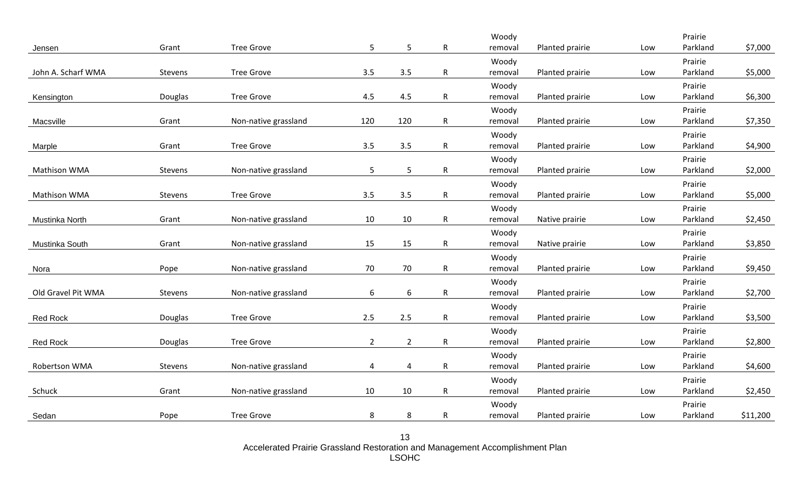|                     |         |                      |                |                  |                | Woody            |                 |     | Prairie             |          |
|---------------------|---------|----------------------|----------------|------------------|----------------|------------------|-----------------|-----|---------------------|----------|
| Jensen              | Grant   | <b>Tree Grove</b>    | 5              | 5                | $\mathsf{R}$   | removal          | Planted prairie | Low | Parkland            | \$7,000  |
|                     |         |                      |                |                  |                | Woody            |                 |     | Prairie             |          |
| John A. Scharf WMA  | Stevens | <b>Tree Grove</b>    | 3.5            | 3.5              | $\mathsf{R}$   | removal          | Planted prairie | Low | Parkland            | \$5,000  |
|                     |         |                      |                |                  |                | Woody            |                 |     | Prairie             |          |
| Kensington          | Douglas | <b>Tree Grove</b>    | 4.5            | 4.5              | $\mathsf{R}$   | removal          | Planted prairie | Low | Parkland            | \$6,300  |
|                     |         |                      |                |                  |                | Woody            |                 |     | Prairie             |          |
| Macsville           | Grant   | Non-native grassland | 120            | 120              | $\mathsf{R}^-$ | removal          | Planted prairie | Low | Parkland            | \$7,350  |
|                     |         |                      |                |                  |                | Woody            |                 |     | Prairie             |          |
| Marple              | Grant   | <b>Tree Grove</b>    | 3.5            | 3.5              | $\mathsf{R}$   | removal          | Planted prairie | Low | Parkland            | \$4,900  |
|                     |         |                      |                |                  |                | Woody            |                 |     | Prairie             |          |
| <b>Mathison WMA</b> | Stevens | Non-native grassland | $5\phantom{.}$ | 5                | $\mathsf{R}$   | removal          | Planted prairie | Low | Parkland            | \$2,000  |
|                     |         |                      |                |                  |                | Woody            |                 |     | Prairie             |          |
| Mathison WMA        | Stevens | <b>Tree Grove</b>    | 3.5            | 3.5              | $\mathsf{R}$   | removal          | Planted prairie | Low | Parkland            | \$5,000  |
|                     |         |                      |                |                  |                | Woody            |                 |     | Prairie             |          |
| Mustinka North      | Grant   | Non-native grassland | 10             | 10               | $\mathsf{R}$   | removal          | Native prairie  | Low | Parkland            | \$2,450  |
|                     |         |                      |                |                  |                | Woody            |                 |     | Prairie             |          |
| Mustinka South      | Grant   | Non-native grassland | 15             | 15               | $\mathsf{R}$   | removal          | Native prairie  | Low | Parkland            | \$3,850  |
|                     |         |                      |                |                  |                | Woody            |                 |     | Prairie             |          |
| Nora                | Pope    | Non-native grassland | 70             | 70               | R              | removal          | Planted prairie | Low | Parkland            | \$9,450  |
|                     |         |                      |                |                  |                | Woody            |                 |     | Prairie             |          |
| Old Gravel Pit WMA  | Stevens | Non-native grassland | 6              | $\boldsymbol{6}$ | $\mathsf{R}$   | removal          | Planted prairie | Low | Parkland            | \$2,700  |
|                     |         |                      |                |                  |                | Woody            |                 |     | Prairie             |          |
| <b>Red Rock</b>     | Douglas | <b>Tree Grove</b>    | 2.5            | 2.5              | $\mathsf{R}$   | removal          | Planted prairie | Low | Parkland            | \$3,500  |
|                     |         |                      |                |                  |                |                  |                 |     | Prairie             |          |
| <b>Red Rock</b>     | Douglas | <b>Tree Grove</b>    | $\overline{2}$ | $\overline{2}$   | $\mathsf{R}$   | Woody<br>removal | Planted prairie | Low | Parkland            | \$2,800  |
|                     |         |                      |                |                  |                |                  |                 |     |                     |          |
| Robertson WMA       | Stevens | Non-native grassland | 4              | 4                | $\mathsf{R}$   | Woody            | Planted prairie |     | Prairie<br>Parkland | \$4,600  |
|                     |         |                      |                |                  |                | removal          |                 | Low |                     |          |
|                     |         |                      |                |                  |                | Woody            |                 |     | Prairie             |          |
| Schuck              | Grant   | Non-native grassland | 10             | $10\,$           | $\mathsf R$    | removal          | Planted prairie | Low | Parkland            | \$2,450  |
|                     |         |                      |                |                  |                | Woody            |                 |     | Prairie             |          |
| Sedan               | Pope    | <b>Tree Grove</b>    | 8              | 8                | $\mathsf{R}$   | removal          | Planted prairie | Low | Parkland            | \$11,200 |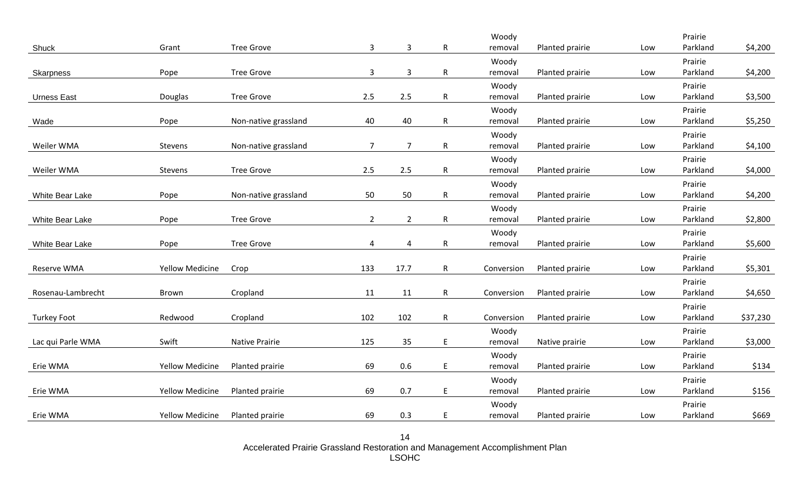|                    |                        |                       |                |                |                | Woody            |                 |     | Prairie             |          |
|--------------------|------------------------|-----------------------|----------------|----------------|----------------|------------------|-----------------|-----|---------------------|----------|
| Shuck              | Grant                  | <b>Tree Grove</b>     | 3              | $\mathbf{3}$   | $\mathsf{R}^-$ | removal          | Planted prairie | Low | Parkland            | \$4,200  |
|                    |                        |                       |                |                |                | Woody            |                 |     | Prairie             |          |
| Skarpness          | Pope                   | <b>Tree Grove</b>     | 3              | $\mathbf{3}$   | $\mathsf{R}^-$ | removal          | Planted prairie | Low | Parkland            | \$4,200  |
|                    |                        |                       |                |                |                | Woody            |                 |     | Prairie             |          |
| <b>Urness East</b> | Douglas                | <b>Tree Grove</b>     | 2.5            | 2.5            | R              | removal          | Planted prairie | Low | Parkland            | \$3,500  |
|                    |                        |                       |                |                |                | Woody            |                 |     | Prairie             |          |
| Wade               | Pope                   | Non-native grassland  | 40             | 40             | R.             | removal          | Planted prairie | Low | Parkland            | \$5,250  |
|                    |                        |                       |                |                |                | Woody            |                 |     | Prairie             |          |
| Weiler WMA         | Stevens                | Non-native grassland  | $\overline{7}$ | $\overline{7}$ | R.             | removal          | Planted prairie | Low | Parkland            | \$4,100  |
|                    |                        |                       |                |                |                | Woody            |                 |     | Prairie             |          |
| Weiler WMA         | Stevens                | <b>Tree Grove</b>     | 2.5            | 2.5            | $\mathsf{R}^-$ | removal          | Planted prairie | Low | Parkland            | \$4,000  |
|                    |                        |                       |                |                |                | Woody            |                 |     | Prairie             |          |
| White Bear Lake    | Pope                   | Non-native grassland  | 50             | 50             | R.             | removal          | Planted prairie | Low | Parkland            | \$4,200  |
|                    |                        |                       |                |                |                | Woody            |                 |     | Prairie             |          |
| White Bear Lake    | Pope                   | <b>Tree Grove</b>     | $\overline{2}$ | $\overline{2}$ | R.             | removal          | Planted prairie | Low | Parkland            | \$2,800  |
|                    |                        |                       |                |                |                | Woody            |                 |     | Prairie             |          |
| White Bear Lake    | Pope                   | <b>Tree Grove</b>     | $\overline{4}$ | $\overline{4}$ | $\mathsf{R}^-$ | removal          | Planted prairie | Low | Parkland            | \$5,600  |
|                    |                        |                       |                |                |                |                  |                 |     | Prairie             |          |
| Reserve WMA        | <b>Yellow Medicine</b> | Crop                  | 133            | 17.7           | R.             | Conversion       | Planted prairie | Low | Parkland            | \$5,301  |
|                    |                        |                       |                |                |                |                  |                 |     | Prairie             |          |
| Rosenau-Lambrecht  | Brown                  | Cropland              | 11             | 11             | R.             | Conversion       | Planted prairie | Low | Parkland            | \$4,650  |
|                    |                        |                       |                |                |                |                  |                 |     | Prairie             |          |
| <b>Turkey Foot</b> | Redwood                | Cropland              | 102            | 102            | $\mathsf{R}^-$ | Conversion       | Planted prairie | Low | Parkland            | \$37,230 |
|                    |                        |                       |                |                |                | Woody            |                 |     | Prairie             |          |
| Lac qui Parle WMA  | Swift                  | <b>Native Prairie</b> | 125            | 35             | E.             | removal          | Native prairie  | Low | Parkland            | \$3,000  |
|                    |                        |                       |                |                |                |                  |                 |     |                     |          |
| Erie WMA           | <b>Yellow Medicine</b> | Planted prairie       | 69             | 0.6            | E              | Woody<br>removal | Planted prairie | Low | Prairie<br>Parkland | \$134    |
|                    |                        |                       |                |                |                |                  |                 |     |                     |          |
|                    |                        |                       |                |                |                | Woody            |                 |     | Prairie             |          |
| Erie WMA           | <b>Yellow Medicine</b> | Planted prairie       | 69             | 0.7            | E              | removal          | Planted prairie | Low | Parkland            | \$156    |
|                    |                        |                       |                |                |                | Woody            |                 |     | Prairie             |          |
| Erie WMA           | <b>Yellow Medicine</b> | Planted prairie       | 69             | 0.3            | E              | removal          | Planted prairie | Low | Parkland            | \$669    |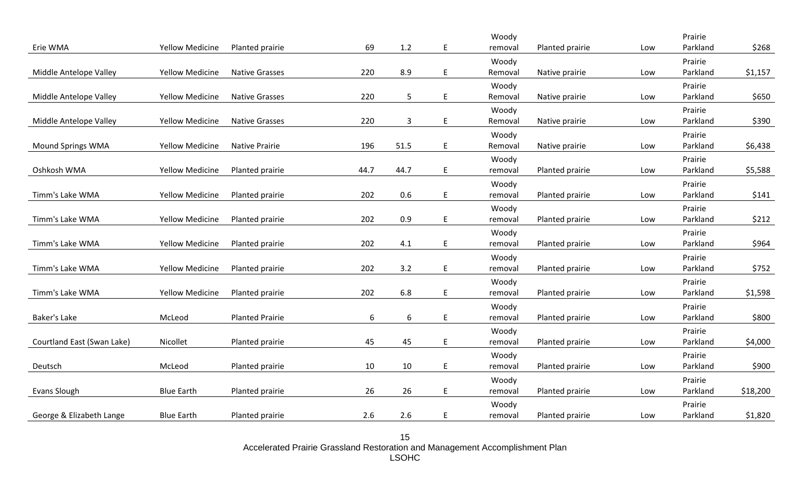|                            |                        |                        |      |              |    | Woody            |                 |     | Prairie             |          |
|----------------------------|------------------------|------------------------|------|--------------|----|------------------|-----------------|-----|---------------------|----------|
| Erie WMA                   | <b>Yellow Medicine</b> | Planted prairie        | 69   | $1.2\,$      | E  | removal          | Planted prairie | Low | Parkland            | \$268    |
|                            |                        |                        |      |              |    | Woody            |                 |     | Prairie             |          |
| Middle Antelope Valley     | <b>Yellow Medicine</b> | <b>Native Grasses</b>  | 220  | 8.9          | E  | Removal          | Native prairie  | Low | Parkland            | \$1,157  |
|                            |                        |                        |      |              |    | Woody            |                 |     | Prairie             |          |
| Middle Antelope Valley     | <b>Yellow Medicine</b> | <b>Native Grasses</b>  | 220  | 5            | E. | Removal          | Native prairie  | Low | Parkland            | \$650    |
|                            |                        |                        |      |              |    | Woody            |                 |     | Prairie             |          |
| Middle Antelope Valley     | <b>Yellow Medicine</b> | <b>Native Grasses</b>  | 220  | $\mathbf{3}$ | E  | Removal          | Native prairie  | Low | Parkland            | \$390    |
|                            |                        |                        |      |              |    | Woody            |                 |     | Prairie             |          |
| Mound Springs WMA          | <b>Yellow Medicine</b> | <b>Native Prairie</b>  | 196  | 51.5         | E  | Removal          | Native prairie  | Low | Parkland            | \$6,438  |
|                            |                        |                        |      |              |    | Woody            |                 |     | Prairie             |          |
| Oshkosh WMA                | <b>Yellow Medicine</b> | Planted prairie        | 44.7 | 44.7         | E  | removal          | Planted prairie | Low | Parkland            | \$5,588  |
|                            |                        |                        |      |              |    | Woody            |                 |     | Prairie             |          |
| Timm's Lake WMA            | <b>Yellow Medicine</b> | Planted prairie        | 202  | 0.6          | E  | removal          | Planted prairie | Low | Parkland            | \$141    |
|                            |                        |                        |      |              |    | Woody            |                 |     | Prairie             |          |
| Timm's Lake WMA            | <b>Yellow Medicine</b> | Planted prairie        | 202  | 0.9          | E  | removal          | Planted prairie | Low | Parkland            | \$212    |
|                            |                        |                        |      |              |    |                  |                 |     | Prairie             |          |
| Timm's Lake WMA            | <b>Yellow Medicine</b> | Planted prairie        | 202  | 4.1          | E  | Woody<br>removal | Planted prairie | Low | Parkland            | \$964    |
|                            |                        |                        |      |              |    |                  |                 |     |                     |          |
| Timm's Lake WMA            | <b>Yellow Medicine</b> | Planted prairie        | 202  | 3.2          | E. | Woody<br>removal | Planted prairie | Low | Prairie<br>Parkland | \$752    |
|                            |                        |                        |      |              |    |                  |                 |     |                     |          |
|                            |                        |                        |      |              |    | Woody            |                 |     | Prairie             |          |
| Timm's Lake WMA            | <b>Yellow Medicine</b> | Planted prairie        | 202  | 6.8          | E. | removal          | Planted prairie | Low | Parkland            | \$1,598  |
|                            |                        |                        |      |              |    | Woody            |                 |     | Prairie             |          |
| <b>Baker's Lake</b>        | McLeod                 | <b>Planted Prairie</b> | 6    | $6\,$        | E  | removal          | Planted prairie | Low | Parkland            | \$800    |
|                            |                        |                        |      |              |    | Woody            |                 |     | Prairie             |          |
| Courtland East (Swan Lake) | Nicollet               | Planted prairie        | 45   | 45           | E  | removal          | Planted prairie | Low | Parkland            | \$4,000  |
|                            |                        |                        |      |              |    | Woody            |                 |     | Prairie             |          |
| Deutsch                    | McLeod                 | Planted prairie        | 10   | 10           | E  | removal          | Planted prairie | Low | Parkland            | \$900    |
|                            |                        |                        |      |              |    | Woody            |                 |     | Prairie             |          |
| Evans Slough               | <b>Blue Earth</b>      | Planted prairie        | 26   | 26           | E  | removal          | Planted prairie | Low | Parkland            | \$18,200 |
|                            |                        |                        |      |              |    | Woody            |                 |     | Prairie             |          |
| George & Elizabeth Lange   | <b>Blue Earth</b>      | Planted prairie        | 2.6  | 2.6          | E  | removal          | Planted prairie | Low | Parkland            | \$1,820  |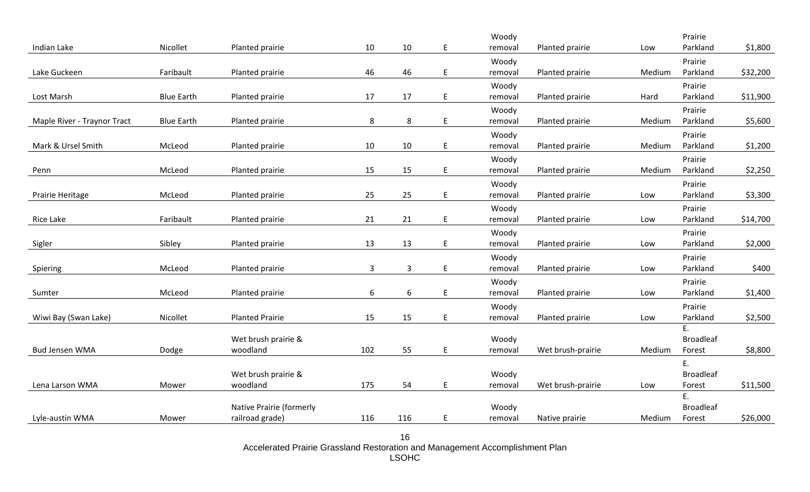|                             |                   |                          |              |              |         | Woody            |                   |        | Prairie             |          |
|-----------------------------|-------------------|--------------------------|--------------|--------------|---------|------------------|-------------------|--------|---------------------|----------|
| Indian Lake                 | Nicollet          | Planted prairie          | 10           | $10\,$       | E       | removal          | Planted prairie   | Low    | Parkland            | \$1,800  |
|                             |                   |                          |              |              |         | Woody            |                   |        | Prairie             |          |
| Lake Guckeen                | Faribault         | Planted prairie          | 46           | 46           | E       | removal          | Planted prairie   | Medium | Parkland            | \$32,200 |
|                             |                   |                          |              |              |         | Woody            |                   |        | Prairie             |          |
| Lost Marsh                  | <b>Blue Earth</b> | Planted prairie          | 17           | 17           | E       | removal          | Planted prairie   | Hard   | Parkland            | \$11,900 |
|                             |                   |                          |              |              |         | Woody            |                   |        | Prairie             |          |
| Maple River - Traynor Tract | <b>Blue Earth</b> | Planted prairie          | 8            | $\bf 8$      | E       | removal          | Planted prairie   | Medium | Parkland            | \$5,600  |
|                             |                   |                          |              |              |         | Woody            |                   |        | Prairie             |          |
| Mark & Ursel Smith          | McLeod            | Planted prairie          | 10           | 10           | E       | removal          | Planted prairie   | Medium | Parkland            | \$1,200  |
|                             |                   |                          |              |              |         | Woody            |                   |        | Prairie             |          |
| Penn                        | McLeod            | Planted prairie          | 15           | 15           | E       | removal          | Planted prairie   | Medium | Parkland            | \$2,250  |
|                             |                   |                          |              |              |         |                  |                   |        |                     |          |
| Prairie Heritage            | McLeod            | Planted prairie          | 25           | 25           | E       | Woody<br>removal | Planted prairie   | Low    | Prairie<br>Parkland |          |
|                             |                   |                          |              |              |         |                  |                   |        |                     | \$3,300  |
|                             |                   |                          |              |              |         | Woody            |                   |        | Prairie             |          |
| Rice Lake                   | Faribault         | Planted prairie          | 21           | 21           | E       | removal          | Planted prairie   | Low    | Parkland            | \$14,700 |
|                             |                   |                          |              |              |         | Woody            |                   |        | Prairie             |          |
| Sigler                      | Sibley            | Planted prairie          | 13           | 13           | E       | removal          | Planted prairie   | Low    | Parkland            | \$2,000  |
|                             |                   |                          |              |              |         | Woody            |                   |        | Prairie             |          |
| Spiering                    | McLeod            | Planted prairie          | $\mathbf{3}$ | $\mathbf{3}$ | $\sf E$ | removal          | Planted prairie   | Low    | Parkland            | \$400    |
|                             |                   |                          |              |              |         | Woody            |                   |        | Prairie             |          |
| Sumter                      | McLeod            | Planted prairie          | 6            | 6            | E       | removal          | Planted prairie   | Low    | Parkland            | \$1,400  |
|                             |                   |                          |              |              |         | Woody            |                   |        | Prairie             |          |
| Wiwi Bay (Swan Lake)        | Nicollet          | <b>Planted Prairie</b>   | 15           | 15           | E       | removal          | Planted prairie   | Low    | Parkland            | \$2,500  |
|                             |                   |                          |              |              |         |                  |                   |        | E.                  |          |
|                             |                   | Wet brush prairie &      |              |              |         | Woody            |                   |        | <b>Broadleaf</b>    |          |
| <b>Bud Jensen WMA</b>       | Dodge             | woodland                 | 102          | 55           | E       | removal          | Wet brush-prairie | Medium | Forest              | \$8,800  |
|                             |                   |                          |              |              |         |                  |                   |        | Ε.                  |          |
|                             |                   | Wet brush prairie &      |              |              |         | Woody            |                   |        | <b>Broadleaf</b>    |          |
| Lena Larson WMA             | Mower             | woodland                 | 175          | 54           | E.      | removal          | Wet brush-prairie | Low    | Forest              | \$11,500 |
|                             |                   |                          |              |              |         |                  |                   |        | E.                  |          |
|                             |                   | Native Prairie (formerly |              |              |         | Woody            |                   |        | <b>Broadleaf</b>    |          |
| Lyle-austin WMA             | Mower             | railroad grade)          | 116          | 116          | E       | removal          | Native prairie    | Medium | Forest              | \$26,000 |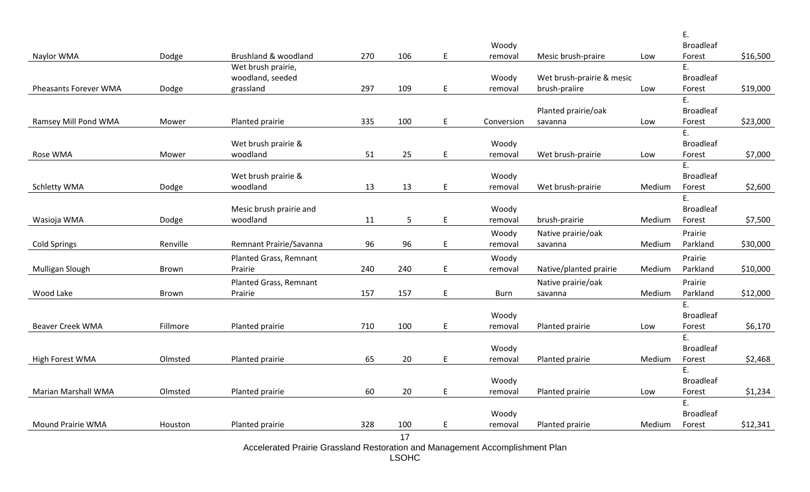|                            |              |                                     |     |     |                                            |             |                           |        | E.                     |          |
|----------------------------|--------------|-------------------------------------|-----|-----|--------------------------------------------|-------------|---------------------------|--------|------------------------|----------|
|                            |              |                                     |     |     |                                            | Woody       |                           |        | <b>Broadleaf</b>       |          |
| Naylor WMA                 | Dodge        | Brushland & woodland                | 270 | 106 | $\sf E$                                    | removal     | Mesic brush-praire        | Low    | Forest                 | \$16,500 |
|                            |              | Wet brush prairie,                  |     |     |                                            |             |                           |        | E.                     |          |
|                            |              | woodland, seeded                    |     |     |                                            | Woody       | Wet brush-prairie & mesic |        | <b>Broadleaf</b>       |          |
| Pheasants Forever WMA      | Dodge        | grassland                           | 297 | 109 | E                                          | removal     | brush-praiire             | Low    | Forest                 | \$19,000 |
|                            |              |                                     |     |     |                                            |             |                           |        | E.                     |          |
|                            |              |                                     |     |     |                                            |             | Planted prairie/oak       |        | <b>Broadleaf</b>       |          |
| Ramsey Mill Pond WMA       | Mower        | Planted prairie                     | 335 | 100 | E                                          | Conversion  | savanna                   | Low    | Forest                 | \$23,000 |
|                            |              |                                     |     |     |                                            |             |                           |        | E.                     |          |
|                            |              | Wet brush prairie &                 |     |     |                                            | Woody       |                           |        | <b>Broadleaf</b>       |          |
| Rose WMA                   | Mower        | woodland                            | 51  | 25  | E                                          | removal     | Wet brush-prairie         | Low    | Forest                 | \$7,000  |
|                            |              |                                     |     |     |                                            |             |                           |        | E.                     |          |
|                            |              | Wet brush prairie &                 |     |     |                                            | Woody       |                           |        | <b>Broadleaf</b>       |          |
| <b>Schletty WMA</b>        | Dodge        | woodland                            | 13  | 13  | E                                          | removal     | Wet brush-prairie         | Medium | Forest                 | \$2,600  |
|                            |              |                                     |     |     |                                            | Woody       |                           |        | E.<br><b>Broadleaf</b> |          |
| Wasioja WMA                | Dodge        | Mesic brush prairie and<br>woodland | 11  | 5   | $\mathsf{E}% _{0}\left( \mathsf{E}\right)$ | removal     | brush-prairie             | Medium | Forest                 | \$7,500  |
|                            |              |                                     |     |     |                                            |             |                           |        |                        |          |
|                            |              |                                     |     |     |                                            | Woody       | Native prairie/oak        |        | Prairie                |          |
| <b>Cold Springs</b>        | Renville     | Remnant Prairie/Savanna             | 96  | 96  | E                                          | removal     | savanna                   | Medium | Parkland               | \$30,000 |
|                            |              | Planted Grass, Remnant              |     |     |                                            | Woody       |                           |        | Prairie                |          |
| Mulligan Slough            | Brown        | Prairie                             | 240 | 240 | E                                          | removal     | Native/planted prairie    | Medium | Parkland               | \$10,000 |
|                            |              | Planted Grass, Remnant              |     |     |                                            |             | Native prairie/oak        |        | Prairie                |          |
| Wood Lake                  | <b>Brown</b> | Prairie                             | 157 | 157 | E                                          | <b>Burn</b> | savanna                   | Medium | Parkland               | \$12,000 |
|                            |              |                                     |     |     |                                            |             |                           |        | E.                     |          |
|                            |              |                                     |     |     |                                            | Woody       |                           |        | <b>Broadleaf</b>       |          |
| <b>Beaver Creek WMA</b>    | Fillmore     | Planted prairie                     | 710 | 100 | E                                          | removal     | Planted prairie           | Low    | Forest                 | \$6,170  |
|                            |              |                                     |     |     |                                            |             |                           |        | E.                     |          |
|                            |              |                                     |     |     |                                            | Woody       |                           |        | <b>Broadleaf</b>       |          |
| High Forest WMA            | Olmsted      | Planted prairie                     | 65  | 20  | E                                          | removal     | Planted prairie           | Medium | Forest                 | \$2,468  |
|                            |              |                                     |     |     |                                            |             |                           |        | Ε.                     |          |
|                            |              |                                     |     |     |                                            | Woody       |                           |        | <b>Broadleaf</b>       |          |
| <b>Marian Marshall WMA</b> | Olmsted      | Planted prairie                     | 60  | 20  | E                                          | removal     | Planted prairie           | Low    | Forest                 | \$1,234  |
|                            |              |                                     |     |     |                                            |             |                           |        | E.                     |          |
|                            |              |                                     |     |     |                                            | Woody       |                           |        | <b>Broadleaf</b>       |          |
| <b>Mound Prairie WMA</b>   | Houston      | Planted prairie                     | 328 | 100 | E                                          | removal     | Planted prairie           | Medium | Forest                 | \$12,341 |
|                            |              |                                     |     | 17  |                                            |             |                           |        |                        |          |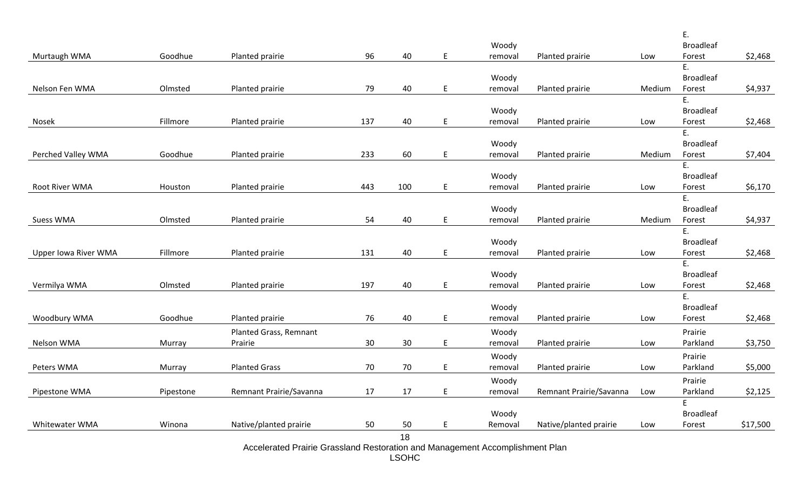|                             |           |                         |     |        |    |                  |                         |        | Ε.                  |          |
|-----------------------------|-----------|-------------------------|-----|--------|----|------------------|-------------------------|--------|---------------------|----------|
|                             |           |                         |     |        |    | Woody            |                         |        | <b>Broadleaf</b>    |          |
| Murtaugh WMA                | Goodhue   | Planted prairie         | 96  | 40     | E. | removal          | Planted prairie         | Low    | Forest              | \$2,468  |
|                             |           |                         |     |        |    |                  |                         |        | E.                  |          |
|                             |           |                         |     |        |    | Woody            |                         |        | <b>Broadleaf</b>    |          |
| Nelson Fen WMA              | Olmsted   | Planted prairie         | 79  | 40     | E. | removal          | Planted prairie         | Medium | Forest              | \$4,937  |
|                             |           |                         |     |        |    |                  |                         |        | E.                  |          |
|                             |           |                         |     |        |    | Woody            |                         |        | <b>Broadleaf</b>    |          |
| Nosek                       | Fillmore  | Planted prairie         | 137 | 40     | E. | removal          | Planted prairie         | Low    | Forest              | \$2,468  |
|                             |           |                         |     |        |    |                  |                         |        | E.                  |          |
|                             |           |                         |     |        |    | Woody            |                         |        | <b>Broadleaf</b>    |          |
| Perched Valley WMA          | Goodhue   | Planted prairie         | 233 | 60     | E. | removal          | Planted prairie         | Medium | Forest              | \$7,404  |
|                             |           |                         |     |        |    |                  |                         |        | E.                  |          |
|                             |           |                         |     |        |    | Woody            |                         |        | <b>Broadleaf</b>    |          |
| Root River WMA              | Houston   | Planted prairie         | 443 | 100    | E  | removal          | Planted prairie         | Low    | Forest              | \$6,170  |
|                             |           |                         |     |        |    |                  |                         |        | E.                  |          |
|                             |           |                         |     |        |    | Woody            |                         |        | <b>Broadleaf</b>    |          |
| <b>Suess WMA</b>            | Olmsted   | Planted prairie         | 54  | 40     | E  | removal          | Planted prairie         | Medium | Forest              | \$4,937  |
|                             |           |                         |     |        |    |                  |                         |        | Ε.                  |          |
|                             |           |                         |     |        |    | Woody            |                         |        | <b>Broadleaf</b>    |          |
| <b>Upper lowa River WMA</b> | Fillmore  | Planted prairie         | 131 | 40     | E  | removal          | Planted prairie         | Low    | Forest              | \$2,468  |
|                             |           |                         |     |        |    |                  |                         |        | E.                  |          |
|                             |           |                         |     |        |    | Woody            |                         |        | <b>Broadleaf</b>    |          |
| Vermilya WMA                | Olmsted   | Planted prairie         | 197 | 40     | E  | removal          | Planted prairie         | Low    | Forest              | \$2,468  |
|                             |           |                         |     |        |    |                  |                         |        | E.                  |          |
|                             |           |                         |     |        |    | Woody            |                         |        | <b>Broadleaf</b>    |          |
| Woodbury WMA                | Goodhue   | Planted prairie         | 76  | 40     | E. | removal          | Planted prairie         | Low    | Forest              | \$2,468  |
|                             |           | Planted Grass, Remnant  |     |        |    | Woody            |                         |        | Prairie             |          |
| Nelson WMA                  | Murray    | Prairie                 | 30  | 30     | E  | removal          | Planted prairie         | Low    | Parkland            | \$3,750  |
|                             |           |                         |     |        |    | Woody            |                         |        | Prairie             |          |
| Peters WMA                  | Murray    | <b>Planted Grass</b>    | 70  | $70\,$ | E  | removal          | Planted prairie         | Low    | Parkland            | \$5,000  |
|                             |           |                         |     |        |    |                  |                         |        |                     |          |
| Pipestone WMA               | Pipestone | Remnant Prairie/Savanna | 17  | 17     | E  | Woody<br>removal | Remnant Prairie/Savanna | Low    | Prairie<br>Parkland | \$2,125  |
|                             |           |                         |     |        |    |                  |                         |        | E                   |          |
|                             |           |                         |     |        |    | Woody            |                         |        | <b>Broadleaf</b>    |          |
| Whitewater WMA              | Winona    | Native/planted prairie  | 50  | 50     | E. | Removal          | Native/planted prairie  | Low    | Forest              | \$17,500 |
|                             |           |                         |     | 18     |    |                  |                         |        |                     |          |
|                             |           |                         |     |        |    |                  |                         |        |                     |          |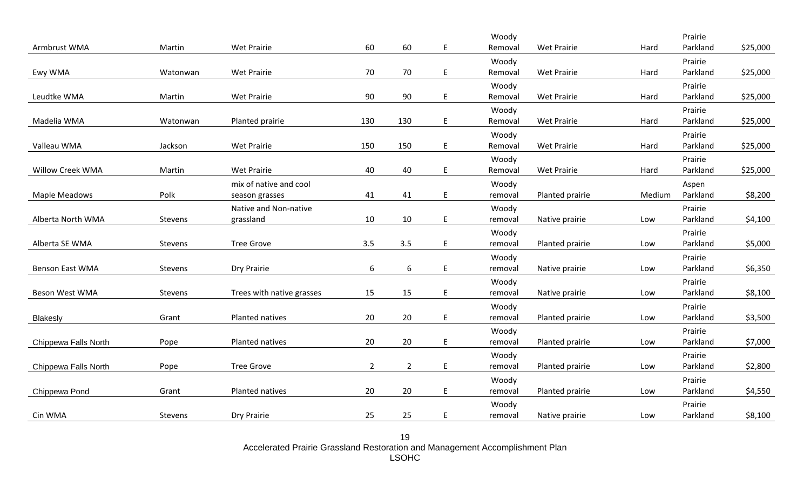|                      |          |                           |                |                |    | Woody            |                    |        | Prairie             |          |
|----------------------|----------|---------------------------|----------------|----------------|----|------------------|--------------------|--------|---------------------|----------|
| Armbrust WMA         | Martin   | Wet Prairie               | 60             | 60             | E  | Removal          | Wet Prairie        | Hard   | Parkland            | \$25,000 |
|                      |          |                           |                |                |    | Woody            |                    |        | Prairie             |          |
| Ewy WMA              | Watonwan | Wet Prairie               | 70             | 70             | E. | Removal          | <b>Wet Prairie</b> | Hard   | Parkland            | \$25,000 |
|                      |          |                           |                |                |    | Woody            |                    |        | Prairie             |          |
| Leudtke WMA          | Martin   | Wet Prairie               | 90             | 90             | E. | Removal          | <b>Wet Prairie</b> | Hard   | Parkland            | \$25,000 |
|                      |          |                           |                |                |    | Woody            |                    |        | Prairie             |          |
| Madelia WMA          | Watonwan | Planted prairie           | 130            | 130            | E  | Removal          | <b>Wet Prairie</b> | Hard   | Parkland            | \$25,000 |
|                      |          |                           |                |                |    | Woody            |                    |        | Prairie             |          |
| Valleau WMA          | Jackson  | Wet Prairie               | 150            | 150            | E. | Removal          | <b>Wet Prairie</b> | Hard   | Parkland            | \$25,000 |
|                      |          |                           |                |                |    | Woody            |                    |        | Prairie             |          |
| Willow Creek WMA     | Martin   | <b>Wet Prairie</b>        | 40             | 40             | E. | Removal          | <b>Wet Prairie</b> | Hard   | Parkland            | \$25,000 |
|                      |          | mix of native and cool    |                |                |    | Woody            |                    |        | Aspen               |          |
| Maple Meadows        | Polk     | season grasses            | 41             | 41             | E. | removal          | Planted prairie    | Medium | Parkland            | \$8,200  |
|                      |          | Native and Non-native     |                |                |    | Woody            |                    |        | Prairie             |          |
| Alberta North WMA    | Stevens  | grassland                 | 10             | 10             | E. | removal          | Native prairie     | Low    | Parkland            | \$4,100  |
|                      |          |                           |                |                |    | Woody            |                    |        | Prairie             |          |
| Alberta SE WMA       | Stevens  | <b>Tree Grove</b>         | 3.5            | 3.5            | E. | removal          | Planted prairie    | Low    | Parkland            | \$5,000  |
|                      |          |                           |                |                |    | Woody            |                    |        | Prairie             |          |
| Benson East WMA      | Stevens  | Dry Prairie               | 6              | 6              | E. | removal          | Native prairie     | Low    | Parkland            | \$6,350  |
|                      |          |                           |                |                |    | Woody            |                    |        | Prairie             |          |
| Beson West WMA       | Stevens  | Trees with native grasses | 15             | 15             | E. | removal          | Native prairie     | Low    | Parkland            | \$8,100  |
|                      |          |                           |                |                |    |                  |                    |        |                     |          |
| <b>Blakesly</b>      | Grant    | Planted natives           | 20             | 20             | E. | Woody<br>removal | Planted prairie    | Low    | Prairie<br>Parkland | \$3,500  |
|                      |          |                           |                |                |    |                  |                    |        |                     |          |
|                      | Pope     | Planted natives           | 20             | 20             | E. | Woody<br>removal | Planted prairie    | Low    | Prairie<br>Parkland | \$7,000  |
| Chippewa Falls North |          |                           |                |                |    |                  |                    |        |                     |          |
|                      |          |                           |                |                |    | Woody            |                    |        | Prairie             |          |
| Chippewa Falls North | Pope     | <b>Tree Grove</b>         | $\overline{2}$ | $\overline{2}$ | E. | removal          | Planted prairie    | Low    | Parkland            | \$2,800  |
|                      |          |                           |                |                |    | Woody            |                    |        | Prairie             |          |
| Chippewa Pond        | Grant    | Planted natives           | 20             | 20             | E  | removal          | Planted prairie    | Low    | Parkland            | \$4,550  |
|                      |          |                           |                |                |    | Woody            |                    |        | Prairie             |          |
| Cin WMA              | Stevens  | Dry Prairie               | 25             | 25             | E  | removal          | Native prairie     | Low    | Parkland            | \$8,100  |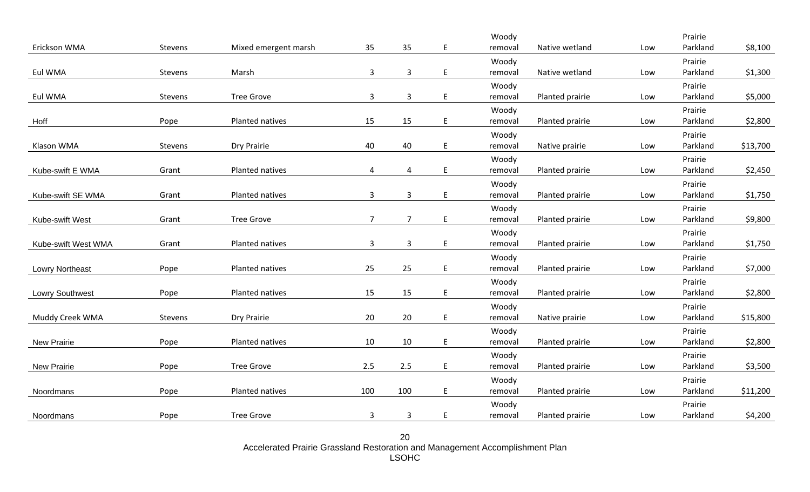|                        |         |                      |                |                |    | Woody            |                 |     | Prairie             |          |
|------------------------|---------|----------------------|----------------|----------------|----|------------------|-----------------|-----|---------------------|----------|
| Erickson WMA           | Stevens | Mixed emergent marsh | 35             | 35             | E  | removal          | Native wetland  | Low | Parkland            | \$8,100  |
|                        |         |                      |                |                |    | Woody            |                 |     | Prairie             |          |
| Eul WMA                | Stevens | Marsh                | 3              | $\mathbf{3}$   | E. | removal          | Native wetland  | Low | Parkland            | \$1,300  |
|                        |         |                      |                |                |    | Woody            |                 |     | Prairie             |          |
| Eul WMA                | Stevens | <b>Tree Grove</b>    | $\mathbf{3}$   | $\mathbf{3}$   | E  | removal          | Planted prairie | Low | Parkland            | \$5,000  |
|                        |         |                      |                |                |    | Woody            |                 |     | Prairie             |          |
| Hoff                   | Pope    | Planted natives      | 15             | 15             | E  | removal          | Planted prairie | Low | Parkland            | \$2,800  |
|                        |         |                      |                |                |    | Woody            |                 |     | Prairie             |          |
| Klason WMA             | Stevens | Dry Prairie          | 40             | 40             | E. | removal          | Native prairie  | Low | Parkland            | \$13,700 |
|                        |         |                      |                |                |    | Woody            |                 |     | Prairie             |          |
| Kube-swift E WMA       | Grant   | Planted natives      | $\overline{4}$ | 4              | E  | removal          | Planted prairie | Low | Parkland            | \$2,450  |
|                        |         |                      |                |                |    | Woody            |                 |     | Prairie             |          |
| Kube-swift SE WMA      | Grant   | Planted natives      | $\mathbf{3}$   | $\mathbf{3}$   | E. | removal          | Planted prairie | Low | Parkland            | \$1,750  |
|                        |         |                      |                |                |    | Woody            |                 |     | Prairie             |          |
| Kube-swift West        | Grant   | <b>Tree Grove</b>    | $\overline{7}$ | $\overline{7}$ | E  | removal          | Planted prairie | Low | Parkland            | \$9,800  |
|                        |         |                      |                |                |    | Woody            |                 |     | Prairie             |          |
| Kube-swift West WMA    | Grant   | Planted natives      | $\mathbf{3}$   | $\mathbf{3}$   | E  | removal          | Planted prairie | Low | Parkland            | \$1,750  |
|                        |         |                      |                |                |    | Woody            |                 |     | Prairie             |          |
| <b>Lowry Northeast</b> | Pope    | Planted natives      | 25             | 25             | E. | removal          | Planted prairie | Low | Parkland            | \$7,000  |
|                        |         |                      |                |                |    |                  |                 |     | Prairie             |          |
| <b>Lowry Southwest</b> | Pope    | Planted natives      | 15             | 15             | E. | Woody<br>removal | Planted prairie | Low | Parkland            | \$2,800  |
|                        |         |                      |                |                |    |                  |                 |     | Prairie             |          |
| Muddy Creek WMA        | Stevens | Dry Prairie          | 20             | 20             | E  | Woody<br>removal | Native prairie  | Low | Parkland            | \$15,800 |
|                        |         |                      |                |                |    |                  |                 |     |                     |          |
| New Prairie            | Pope    | Planted natives      | 10             | 10             | E. | Woody<br>removal | Planted prairie | Low | Prairie<br>Parkland | \$2,800  |
|                        |         |                      |                |                |    |                  |                 |     |                     |          |
|                        |         |                      | 2.5            | 2.5            |    | Woody            |                 |     | Prairie             |          |
| New Prairie            | Pope    | <b>Tree Grove</b>    |                |                | E  | removal          | Planted prairie | Low | Parkland            | \$3,500  |
|                        |         |                      |                |                |    | Woody            |                 |     | Prairie             |          |
| Noordmans              | Pope    | Planted natives      | 100            | 100            | E  | removal          | Planted prairie | Low | Parkland            | \$11,200 |
|                        |         |                      |                |                |    | Woody            |                 |     | Prairie             |          |
| Noordmans              | Pope    | <b>Tree Grove</b>    | $\mathbf{3}$   | $\mathbf{3}$   | E  | removal          | Planted prairie | Low | Parkland            | \$4,200  |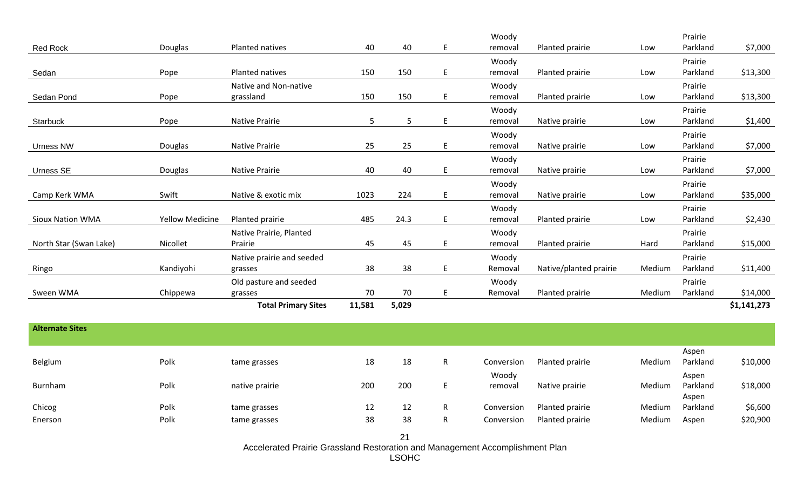|                         |                        |                            |        |       |    | Woody   |                        |        | Prairie  |             |
|-------------------------|------------------------|----------------------------|--------|-------|----|---------|------------------------|--------|----------|-------------|
| Red Rock                | Douglas                | Planted natives            | 40     | 40    | E  | removal | Planted prairie        | Low    | Parkland | \$7,000     |
|                         |                        |                            |        |       |    | Woody   |                        |        | Prairie  |             |
| Sedan                   | Pope                   | Planted natives            | 150    | 150   | E  | removal | Planted prairie        | Low    | Parkland | \$13,300    |
|                         |                        | Native and Non-native      |        |       |    | Woody   |                        |        | Prairie  |             |
| Sedan Pond              | Pope                   | grassland                  | 150    | 150   | E. | removal | Planted prairie        | Low    | Parkland | \$13,300    |
|                         |                        |                            |        |       |    | Woody   |                        |        | Prairie  |             |
| Starbuck                | Pope                   | <b>Native Prairie</b>      | 5      | 5     | E  | removal | Native prairie         | Low    | Parkland | \$1,400     |
|                         |                        |                            |        |       |    | Woody   |                        |        | Prairie  |             |
| Urness NW               | <b>Douglas</b>         | <b>Native Prairie</b>      | 25     | 25    | E  | removal | Native prairie         | Low    | Parkland | \$7,000     |
|                         |                        |                            |        |       |    | Woody   |                        |        | Prairie  |             |
| Urness SE               | <b>Douglas</b>         | <b>Native Prairie</b>      | 40     | 40    | E. | removal | Native prairie         | Low    | Parkland | \$7,000     |
|                         |                        |                            |        |       |    | Woody   |                        |        | Prairie  |             |
| Camp Kerk WMA           | Swift                  | Native & exotic mix        | 1023   | 224   | E. | removal | Native prairie         | Low    | Parkland | \$35,000    |
|                         |                        |                            |        |       |    | Woody   |                        |        | Prairie  |             |
| <b>Sioux Nation WMA</b> | <b>Yellow Medicine</b> | Planted prairie            | 485    | 24.3  | E. | removal | Planted prairie        | Low    | Parkland | \$2,430     |
|                         |                        | Native Prairie, Planted    |        |       |    | Woody   |                        |        | Prairie  |             |
| North Star (Swan Lake)  | Nicollet               | Prairie                    | 45     | 45    | E  | removal | Planted prairie        | Hard   | Parkland | \$15,000    |
|                         |                        | Native prairie and seeded  |        |       |    | Woody   |                        |        | Prairie  |             |
| Ringo                   | Kandiyohi              | grasses                    | 38     | 38    | E  | Removal | Native/planted prairie | Medium | Parkland | \$11,400    |
|                         |                        | Old pasture and seeded     |        |       |    | Woody   |                        |        | Prairie  |             |
| Sween WMA               | Chippewa               | grasses                    | 70     | 70    | E  | Removal | Planted prairie        | Medium | Parkland | \$14,000    |
|                         |                        | <b>Total Primary Sites</b> | 11,581 | 5,029 |    |         |                        |        |          | \$1,141,273 |
|                         |                        |                            |        |       |    |         |                        |        |          |             |

| <b>Alternate Sites</b> |      |                |     |     |    |                  |                 |        |                            |          |
|------------------------|------|----------------|-----|-----|----|------------------|-----------------|--------|----------------------------|----------|
| Belgium                | Polk | tame grasses   | 18  | 18  | R  | Conversion       | Planted prairie | Medium | Aspen<br>Parkland          | \$10,000 |
| Burnham                | Polk | native prairie | 200 | 200 |    | Woody<br>removal | Native prairie  | Medium | Aspen<br>Parkland<br>Aspen | \$18,000 |
| Chicog                 | Polk | tame grasses   | 12  | 12  | R. | Conversion       | Planted prairie | Medium | Parkland                   | \$6,600  |
| Enerson                | Polk | tame grasses   | 38  | 38  | R  | Conversion       | Planted prairie | Medium | Aspen                      | \$20,900 |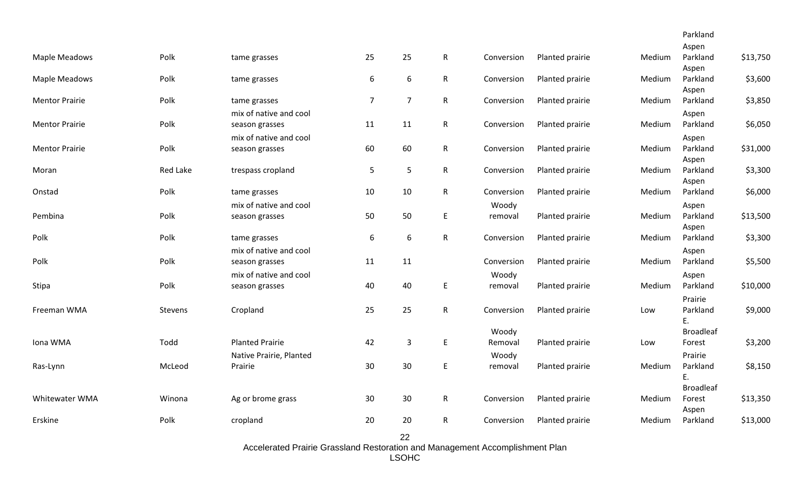|                       |          |                         |                  |                  |              |            |                 |        | Parkland          |          |
|-----------------------|----------|-------------------------|------------------|------------------|--------------|------------|-----------------|--------|-------------------|----------|
|                       |          |                         |                  |                  |              |            |                 |        | Aspen             |          |
| Maple Meadows         | Polk     | tame grasses            | 25               | 25               | $\mathsf{R}$ | Conversion | Planted prairie | Medium | Parkland<br>Aspen | \$13,750 |
| Maple Meadows         | Polk     | tame grasses            | $\boldsymbol{6}$ | 6                | $\mathsf{R}$ | Conversion | Planted prairie | Medium | Parkland          | \$3,600  |
|                       |          |                         |                  |                  |              |            |                 |        | Aspen             |          |
| <b>Mentor Prairie</b> | Polk     | tame grasses            | $\overline{7}$   | $\overline{7}$   | $\mathsf{R}$ | Conversion | Planted prairie | Medium | Parkland          | \$3,850  |
|                       |          | mix of native and cool  |                  |                  |              |            |                 |        | Aspen             |          |
| <b>Mentor Prairie</b> | Polk     | season grasses          | 11               | 11               | $\mathsf{R}$ | Conversion | Planted prairie | Medium | Parkland          | \$6,050  |
|                       |          | mix of native and cool  |                  |                  |              |            |                 |        | Aspen             |          |
| <b>Mentor Prairie</b> | Polk     | season grasses          | 60               | 60               | $\mathsf{R}$ | Conversion | Planted prairie | Medium | Parkland          | \$31,000 |
|                       |          |                         |                  |                  |              |            |                 |        | Aspen             |          |
| Moran                 | Red Lake | trespass cropland       | 5                | 5                | $\mathsf{R}$ | Conversion | Planted prairie | Medium | Parkland          | \$3,300  |
|                       | Polk     |                         | 10               | 10               |              | Conversion |                 | Medium | Aspen<br>Parkland |          |
| Onstad                |          | tame grasses            |                  |                  | $\mathsf{R}$ |            | Planted prairie |        |                   | \$6,000  |
|                       |          | mix of native and cool  |                  |                  |              | Woody      |                 |        | Aspen             |          |
| Pembina               | Polk     | season grasses          | 50               | 50               | E            | removal    | Planted prairie | Medium | Parkland<br>Aspen | \$13,500 |
| Polk                  | Polk     | tame grasses            | 6                | $\boldsymbol{6}$ | $\mathsf{R}$ | Conversion | Planted prairie | Medium | Parkland          | \$3,300  |
|                       |          | mix of native and cool  |                  |                  |              |            |                 |        | Aspen             |          |
| Polk                  | Polk     | season grasses          | 11               | 11               |              | Conversion | Planted prairie | Medium | Parkland          | \$5,500  |
|                       |          | mix of native and cool  |                  |                  |              | Woody      |                 |        | Aspen             |          |
| Stipa                 | Polk     | season grasses          | 40               | 40               | E            | removal    | Planted prairie | Medium | Parkland          | \$10,000 |
|                       |          |                         |                  |                  |              |            |                 |        | Prairie           |          |
| Freeman WMA           | Stevens  | Cropland                | 25               | 25               | $\mathsf{R}$ | Conversion | Planted prairie | Low    | Parkland          | \$9,000  |
|                       |          |                         |                  |                  |              |            |                 |        | Ε.                |          |
|                       |          |                         |                  |                  |              | Woody      |                 |        | <b>Broadleaf</b>  |          |
| Iona WMA              | Todd     | <b>Planted Prairie</b>  | 42               | $\mathbf{3}$     | E            | Removal    | Planted prairie | Low    | Forest            | \$3,200  |
|                       |          | Native Prairie, Planted |                  |                  |              | Woody      |                 |        | Prairie           |          |
| Ras-Lynn              | McLeod   | Prairie                 | 30               | 30               | E            | removal    | Planted prairie | Medium | Parkland          | \$8,150  |
|                       |          |                         |                  |                  |              |            |                 |        | Ε.                |          |
|                       |          |                         |                  |                  |              |            |                 |        | <b>Broadleaf</b>  |          |
| Whitewater WMA        | Winona   | Ag or brome grass       | 30               | $30\,$           | $\mathsf{R}$ | Conversion | Planted prairie | Medium | Forest            | \$13,350 |
| Erskine               | Polk     | cropland                | 20               | 20               | R            | Conversion | Planted prairie | Medium | Aspen<br>Parkland | \$13,000 |
|                       |          |                         |                  |                  |              |            |                 |        |                   |          |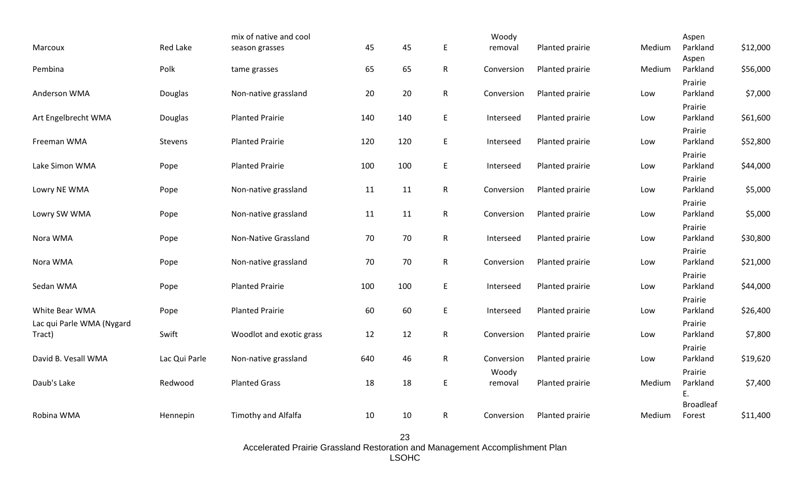| Marcoux                             | <b>Red Lake</b> | mix of native and cool<br>season grasses | 45  | 45  | E            | Woody<br>removal | Planted prairie | Medium | Aspen<br>Parkland          | \$12,000 |
|-------------------------------------|-----------------|------------------------------------------|-----|-----|--------------|------------------|-----------------|--------|----------------------------|----------|
| Pembina                             | Polk            | tame grasses                             | 65  | 65  | $\mathsf R$  | Conversion       | Planted prairie | Medium | Aspen<br>Parkland          | \$56,000 |
| Anderson WMA                        | Douglas         | Non-native grassland                     | 20  | 20  | $\mathsf{R}$ | Conversion       | Planted prairie | Low    | Prairie<br>Parkland        | \$7,000  |
| Art Engelbrecht WMA                 | Douglas         | <b>Planted Prairie</b>                   | 140 | 140 | E            | Interseed        | Planted prairie | Low    | Prairie<br>Parkland        | \$61,600 |
| Freeman WMA                         | Stevens         | <b>Planted Prairie</b>                   | 120 | 120 | E            | Interseed        | Planted prairie | Low    | Prairie<br>Parkland        | \$52,800 |
| Lake Simon WMA                      | Pope            | <b>Planted Prairie</b>                   | 100 | 100 | E            | Interseed        | Planted prairie | Low    | Prairie<br>Parkland        | \$44,000 |
| Lowry NE WMA                        | Pope            | Non-native grassland                     | 11  | 11  | $\mathsf{R}$ | Conversion       | Planted prairie | Low    | Prairie<br>Parkland        | \$5,000  |
| Lowry SW WMA                        | Pope            | Non-native grassland                     | 11  | 11  | $\mathsf{R}$ | Conversion       | Planted prairie | Low    | Prairie<br>Parkland        | \$5,000  |
| Nora WMA                            | Pope            | Non-Native Grassland                     | 70  | 70  | $\mathsf R$  | Interseed        | Planted prairie | Low    | Prairie<br>Parkland        | \$30,800 |
| Nora WMA                            | Pope            | Non-native grassland                     | 70  | 70  | $\mathsf{R}$ | Conversion       | Planted prairie | Low    | Prairie<br>Parkland        | \$21,000 |
| Sedan WMA                           | Pope            | <b>Planted Prairie</b>                   | 100 | 100 | E            | Interseed        | Planted prairie | Low    | Prairie<br>Parkland        | \$44,000 |
| White Bear WMA                      | Pope            | <b>Planted Prairie</b>                   | 60  | 60  | E            | Interseed        | Planted prairie | Low    | Prairie<br>Parkland        | \$26,400 |
| Lac qui Parle WMA (Nygard<br>Tract) | Swift           | Woodlot and exotic grass                 | 12  | 12  | $\mathsf{R}$ | Conversion       | Planted prairie | Low    | Prairie<br>Parkland        | \$7,800  |
| David B. Vesall WMA                 | Lac Qui Parle   | Non-native grassland                     | 640 | 46  | $\mathsf{R}$ | Conversion       | Planted prairie | Low    | Prairie<br>Parkland        | \$19,620 |
| Daub's Lake                         | Redwood         | <b>Planted Grass</b>                     | 18  | 18  | E            | Woody<br>removal | Planted prairie | Medium | Prairie<br>Parkland<br>Ε.  | \$7,400  |
| Robina WMA                          | Hennepin        | Timothy and Alfalfa                      | 10  | 10  | $\mathsf{R}$ | Conversion       | Planted prairie | Medium | <b>Broadleaf</b><br>Forest | \$11,400 |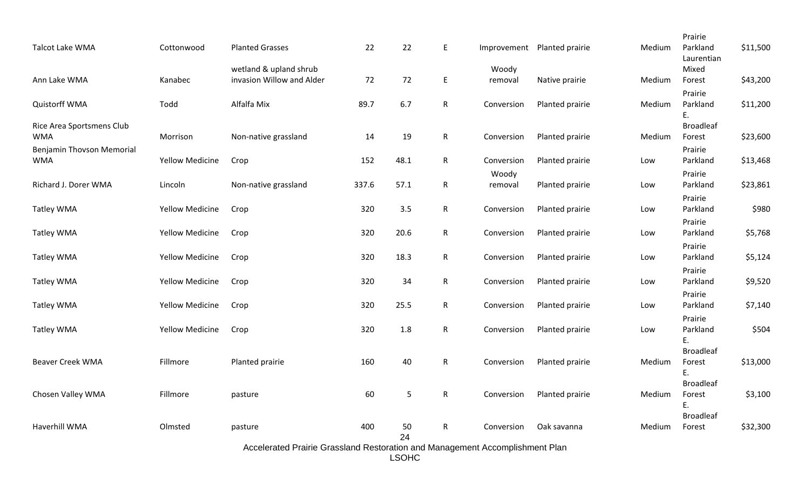|                           |                        |                           |       |                |              |             |                 |        | Prairie                |          |
|---------------------------|------------------------|---------------------------|-------|----------------|--------------|-------------|-----------------|--------|------------------------|----------|
| <b>Talcot Lake WMA</b>    | Cottonwood             | <b>Planted Grasses</b>    | 22    | 22             | E            | Improvement | Planted prairie | Medium | Parkland<br>Laurentian | \$11,500 |
|                           |                        | wetland & upland shrub    |       |                |              | Woody       |                 |        | Mixed                  |          |
| Ann Lake WMA              | Kanabec                | invasion Willow and Alder | 72    | 72             | $\sf E$      | removal     | Native prairie  | Medium | Forest                 | \$43,200 |
|                           |                        |                           |       |                |              |             |                 |        | Prairie                |          |
| Quistorff WMA             | Todd                   | Alfalfa Mix               | 89.7  | 6.7            | $\mathsf{R}$ | Conversion  | Planted prairie | Medium | Parkland               | \$11,200 |
|                           |                        |                           |       |                |              |             |                 |        | E.                     |          |
| Rice Area Sportsmens Club |                        |                           |       |                |              |             |                 |        | <b>Broadleaf</b>       |          |
| <b>WMA</b>                | Morrison               | Non-native grassland      | 14    | 19             | $\mathsf{R}$ | Conversion  | Planted prairie | Medium | Forest                 | \$23,600 |
| Benjamin Thovson Memorial |                        |                           |       |                |              |             |                 |        | Prairie                |          |
| <b>WMA</b>                | <b>Yellow Medicine</b> | Crop                      | 152   | 48.1           | $\mathsf{R}$ | Conversion  | Planted prairie | Low    | Parkland               | \$13,468 |
|                           |                        |                           |       |                |              | Woody       |                 |        | Prairie                |          |
| Richard J. Dorer WMA      | Lincoln                | Non-native grassland      | 337.6 | 57.1           | $\mathsf{R}$ | removal     | Planted prairie | Low    | Parkland               | \$23,861 |
|                           |                        |                           |       |                |              |             |                 |        | Prairie                |          |
| Tatley WMA                | <b>Yellow Medicine</b> | Crop                      | 320   | 3.5            | $\mathsf{R}$ | Conversion  | Planted prairie | Low    | Parkland               | \$980    |
|                           |                        |                           |       |                |              |             |                 |        | Prairie                |          |
| Tatley WMA                | <b>Yellow Medicine</b> | Crop                      | 320   | 20.6           | $\mathsf R$  | Conversion  | Planted prairie | Low    | Parkland               | \$5,768  |
|                           |                        |                           |       |                |              |             |                 |        | Prairie                |          |
| <b>Tatley WMA</b>         | <b>Yellow Medicine</b> | Crop                      | 320   | 18.3           | $\mathsf{R}$ | Conversion  | Planted prairie | Low    | Parkland               | \$5,124  |
|                           |                        |                           |       |                |              |             |                 |        | Prairie                |          |
| Tatley WMA                | <b>Yellow Medicine</b> | Crop                      | 320   | 34             | $\mathsf{R}$ | Conversion  | Planted prairie | Low    | Parkland               | \$9,520  |
|                           |                        |                           |       |                |              |             |                 |        | Prairie                |          |
| <b>Tatley WMA</b>         | <b>Yellow Medicine</b> | Crop                      | 320   | 25.5           | $\mathsf{R}$ | Conversion  | Planted prairie | Low    | Parkland               | \$7,140  |
|                           |                        |                           |       |                |              |             |                 |        | Prairie                |          |
| Tatley WMA                | <b>Yellow Medicine</b> | Crop                      | 320   | 1.8            | $\mathsf{R}$ | Conversion  | Planted prairie | Low    | Parkland               | \$504    |
|                           |                        |                           |       |                |              |             |                 |        | Ε.                     |          |
|                           |                        |                           |       |                |              |             |                 |        | <b>Broadleaf</b>       |          |
| <b>Beaver Creek WMA</b>   | Fillmore               | Planted prairie           | 160   | 40             | $\mathsf{R}$ | Conversion  | Planted prairie | Medium | Forest<br>Ε.           | \$13,000 |
|                           |                        |                           |       |                |              |             |                 |        | <b>Broadleaf</b>       |          |
| Chosen Valley WMA         | Fillmore               | pasture                   | 60    | $\overline{5}$ | $\mathsf{R}$ | Conversion  | Planted prairie | Medium | Forest                 | \$3,100  |
|                           |                        |                           |       |                |              |             |                 |        | Ε.                     |          |
|                           |                        |                           |       |                |              |             |                 |        | <b>Broadleaf</b>       |          |
| Haverhill WMA             | Olmsted                | pasture                   | 400   | 50             | ${\sf R}$    | Conversion  | Oak savanna     | Medium | Forest                 | \$32,300 |
|                           |                        |                           |       | 24             |              |             |                 |        |                        |          |